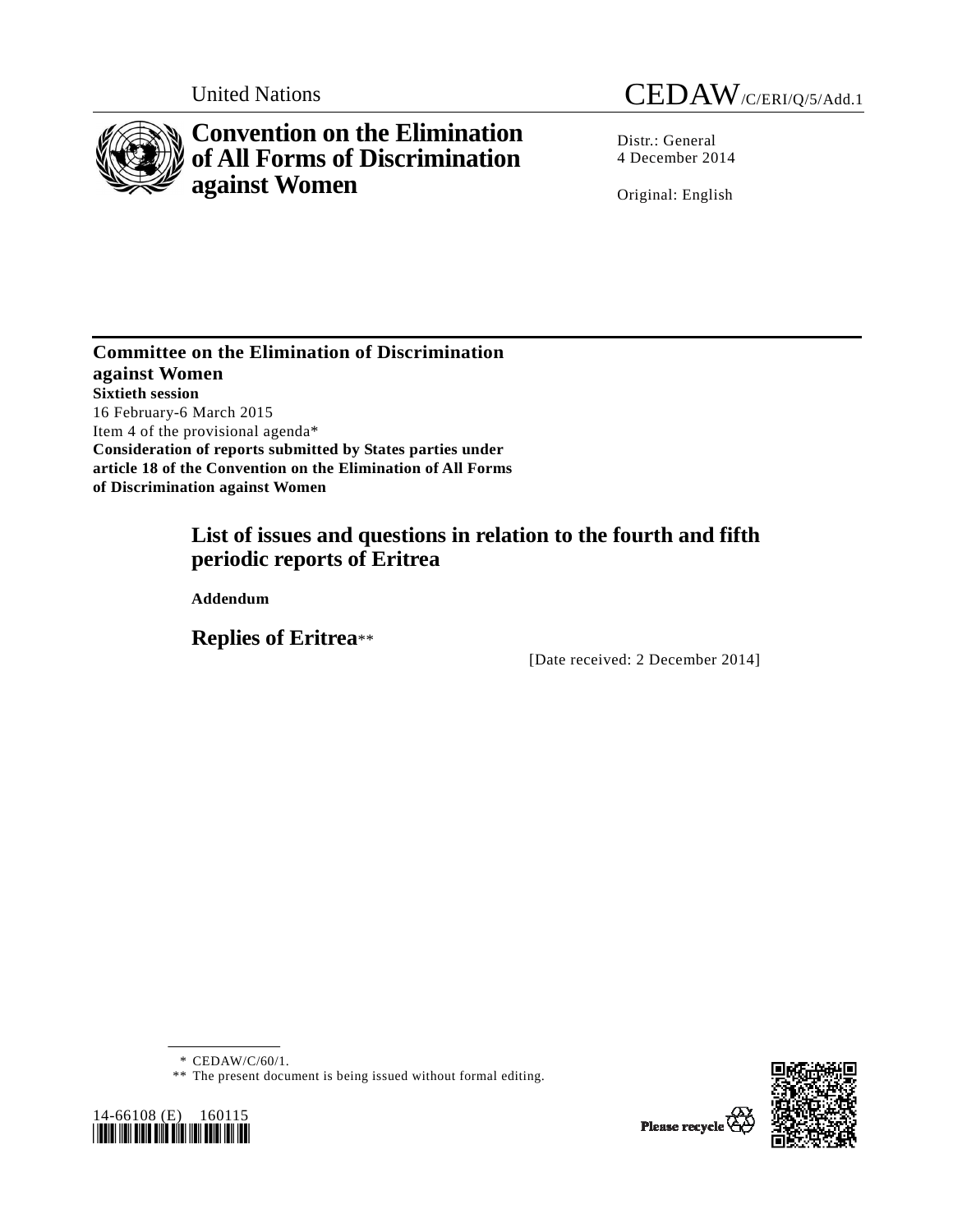

# **Convention on the Elimination of All Forms of Discrimination against Women**

United Nations CEDAW/C/ERI/Q/5/Add.1

Distr.: General 4 December 2014

Original: English

**Committee on the Elimination of Discrimination against Women Sixtieth session**  16 February-6 March 2015 Item 4 of the provisional agenda\* **Consideration of reports submitted by States parties under article 18 of the Convention on the Elimination of All Forms of Discrimination against Women** 

# **List of issues and questions in relation to the fourth and fifth periodic reports of Eritrea**

 **Addendum** 

 **Replies of Eritrea**\*\*

[Date received: 2 December 2014]

\* CEDAW/C/60/1.

<sup>\*\*</sup> The present document is being issued without formal editing.





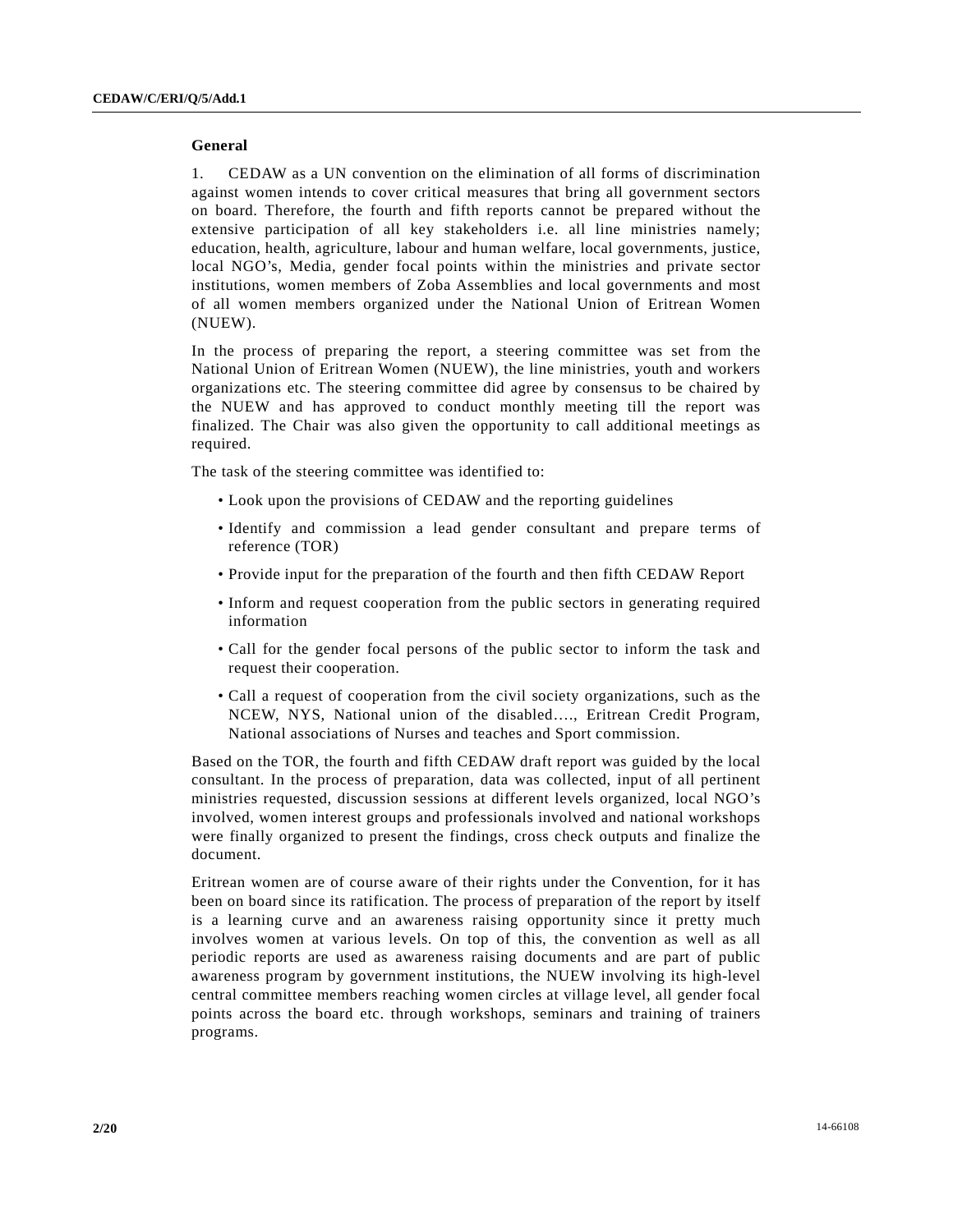# **General**

1. CEDAW as a UN convention on the elimination of all forms of discrimination against women intends to cover critical measures that bring all government sectors on board. Therefore, the fourth and fifth reports cannot be prepared without the extensive participation of all key stakeholders i.e. all line ministries namely; education, health, agriculture, labour and human welfare, local governments, justice, local NGO's, Media, gender focal points within the ministries and private sector institutions, women members of Zoba Assemblies and local governments and most of all women members organized under the National Union of Eritrean Women (NUEW).

In the process of preparing the report, a steering committee was set from the National Union of Eritrean Women (NUEW), the line ministries, youth and workers organizations etc. The steering committee did agree by consensus to be chaired by the NUEW and has approved to conduct monthly meeting till the report was finalized. The Chair was also given the opportunity to call additional meetings as required.

The task of the steering committee was identified to:

- Look upon the provisions of CEDAW and the reporting guidelines
- Identify and commission a lead gender consultant and prepare terms of reference (TOR)
- Provide input for the preparation of the fourth and then fifth CEDAW Report
- Inform and request cooperation from the public sectors in generating required information
- Call for the gender focal persons of the public sector to inform the task and request their cooperation.
- Call a request of cooperation from the civil society organizations, such as the NCEW, NYS, National union of the disabled…., Eritrean Credit Program, National associations of Nurses and teaches and Sport commission.

Based on the TOR, the fourth and fifth CEDAW draft report was guided by the local consultant. In the process of preparation, data was collected, input of all pertinent ministries requested, discussion sessions at different levels organized, local NGO's involved, women interest groups and professionals involved and national workshops were finally organized to present the findings, cross check outputs and finalize the document.

Eritrean women are of course aware of their rights under the Convention, for it has been on board since its ratification. The process of preparation of the report by itself is a learning curve and an awareness raising opportunity since it pretty much involves women at various levels. On top of this, the convention as well as all periodic reports are used as awareness raising documents and are part of public awareness program by government institutions, the NUEW involving its high-level central committee members reaching women circles at village level, all gender focal points across the board etc. through workshops, seminars and training of trainers programs.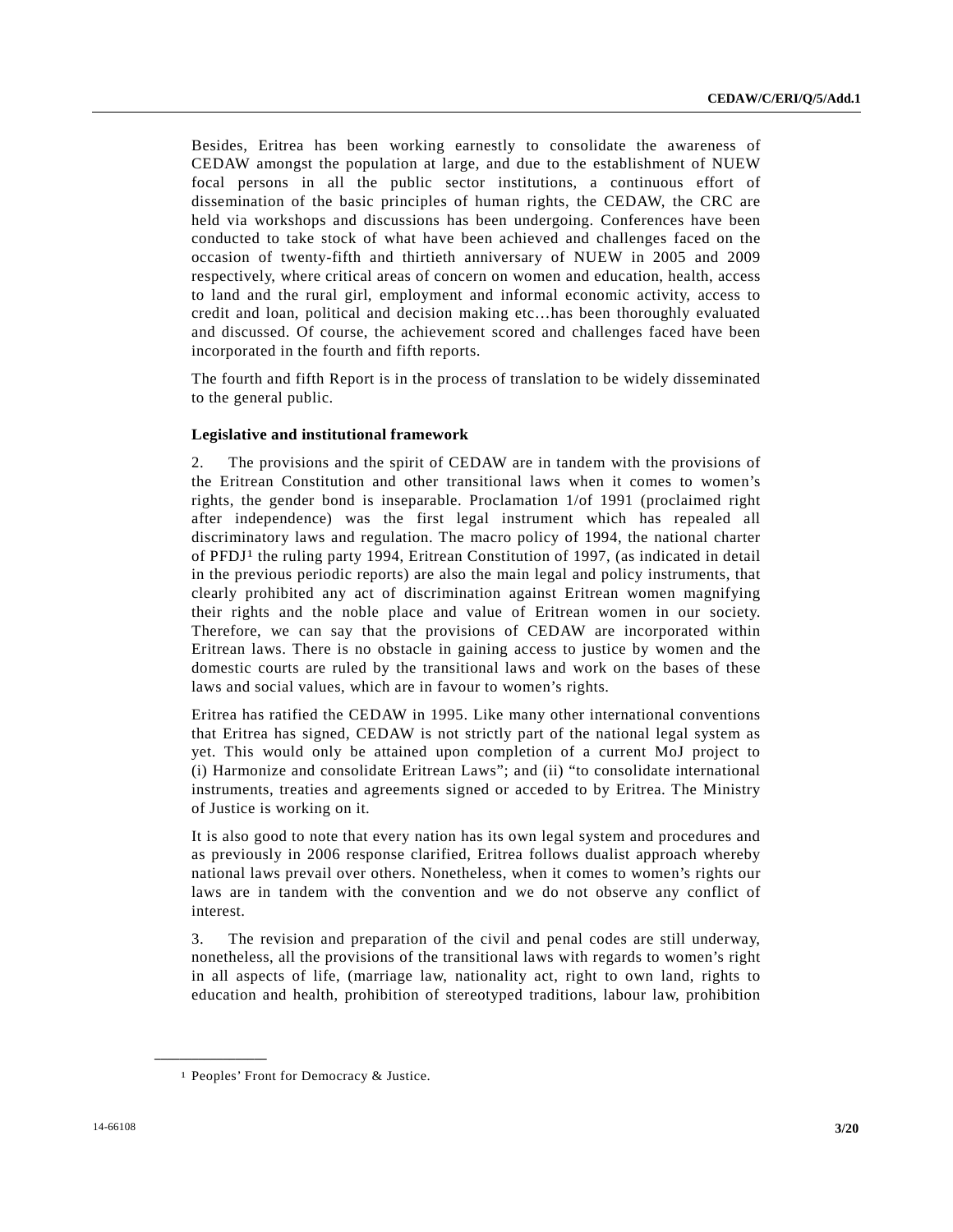Besides, Eritrea has been working earnestly to consolidate the awareness of CEDAW amongst the population at large, and due to the establishment of NUEW focal persons in all the public sector institutions, a continuous effort of dissemination of the basic principles of human rights, the CEDAW, the CRC are held via workshops and discussions has been undergoing. Conferences have been conducted to take stock of what have been achieved and challenges faced on the occasion of twenty-fifth and thirtieth anniversary of NUEW in 2005 and 2009 respectively, where critical areas of concern on women and education, health, access to land and the rural girl, employment and informal economic activity, access to credit and loan, political and decision making etc…has been thoroughly evaluated and discussed. Of course, the achievement scored and challenges faced have been incorporated in the fourth and fifth reports.

The fourth and fifth Report is in the process of translation to be widely disseminated to the general public.

# **Legislative and institutional framework**

2. The provisions and the spirit of CEDAW are in tandem with the provisions of the Eritrean Constitution and other transitional laws when it comes to women's rights, the gender bond is inseparable. Proclamation 1/of 1991 (proclaimed right after independence) was the first legal instrument which has repealed all discriminatory laws and regulation. The macro policy of 1994, the national charter of PFDJ1 the ruling party 1994, Eritrean Constitution of 1997, (as indicated in detail in the previous periodic reports) are also the main legal and policy instruments, that clearly prohibited any act of discrimination against Eritrean women magnifying their rights and the noble place and value of Eritrean women in our society. Therefore, we can say that the provisions of CEDAW are incorporated within Eritrean laws. There is no obstacle in gaining access to justice by women and the domestic courts are ruled by the transitional laws and work on the bases of these laws and social values, which are in favour to women's rights.

Eritrea has ratified the CEDAW in 1995. Like many other international conventions that Eritrea has signed, CEDAW is not strictly part of the national legal system as yet. This would only be attained upon completion of a current MoJ project to (i) Harmonize and consolidate Eritrean Laws"; and (ii) "to consolidate international instruments, treaties and agreements signed or acceded to by Eritrea. The Ministry of Justice is working on it.

It is also good to note that every nation has its own legal system and procedures and as previously in 2006 response clarified, Eritrea follows dualist approach whereby national laws prevail over others. Nonetheless, when it comes to women's rights our laws are in tandem with the convention and we do not observe any conflict of interest.

3. The revision and preparation of the civil and penal codes are still underway, nonetheless, all the provisions of the transitional laws with regards to women's right in all aspects of life, (marriage law, nationality act, right to own land, rights to education and health, prohibition of stereotyped traditions, labour law, prohibition

<sup>1</sup> Peoples' Front for Democracy & Justice.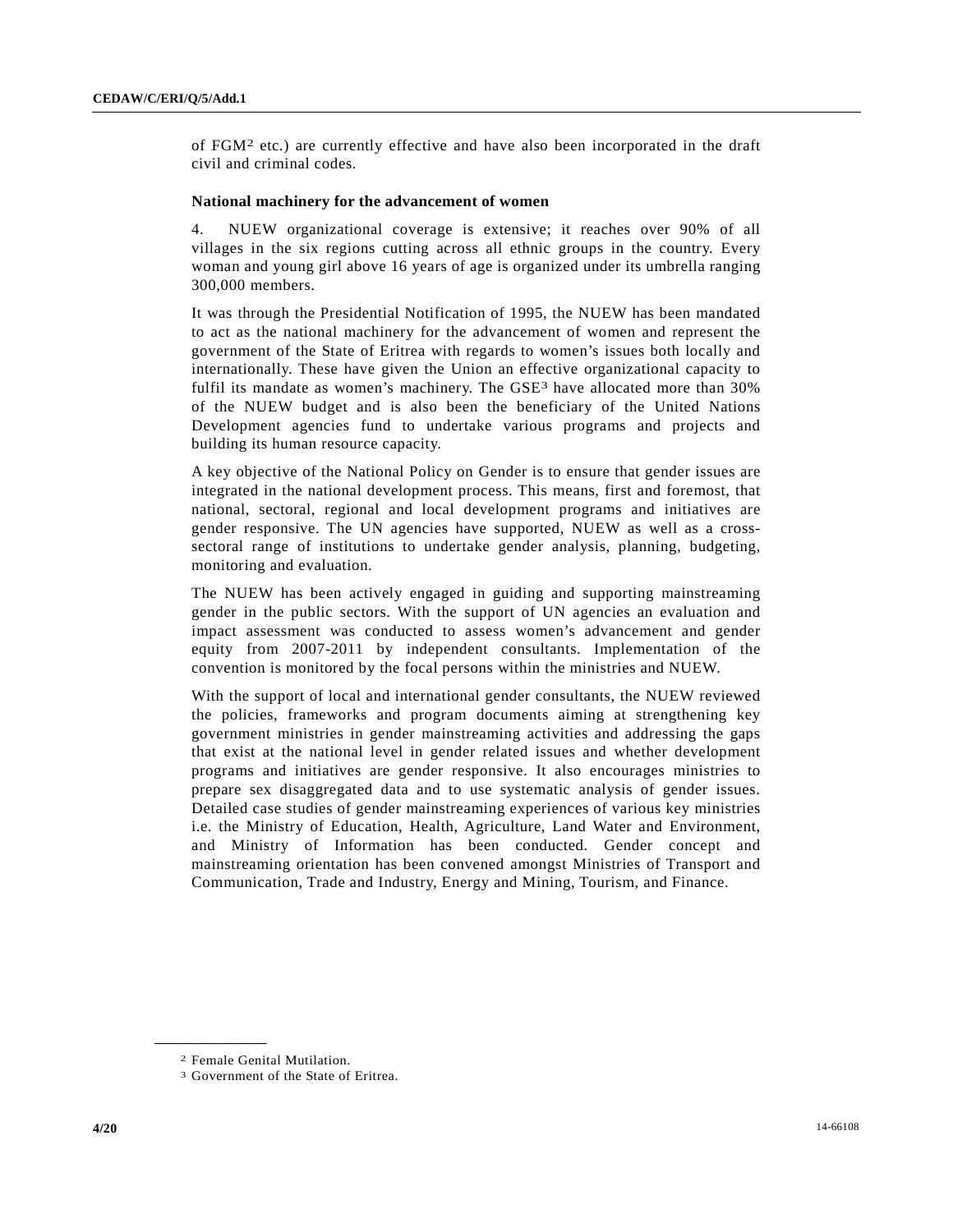of FGM2 etc.) are currently effective and have also been incorporated in the draft civil and criminal codes.

#### **National machinery for the advancement of women**

4. NUEW organizational coverage is extensive; it reaches over 90% of all villages in the six regions cutting across all ethnic groups in the country. Every woman and young girl above 16 years of age is organized under its umbrella ranging 300,000 members.

It was through the Presidential Notification of 1995, the NUEW has been mandated to act as the national machinery for the advancement of women and represent the government of the State of Eritrea with regards to women's issues both locally and internationally. These have given the Union an effective organizational capacity to fulfil its mandate as women's machinery. The GSE<sup>3</sup> have allocated more than 30% of the NUEW budget and is also been the beneficiary of the United Nations Development agencies fund to undertake various programs and projects and building its human resource capacity.

A key objective of the National Policy on Gender is to ensure that gender issues are integrated in the national development process. This means, first and foremost, that national, sectoral, regional and local development programs and initiatives are gender responsive. The UN agencies have supported, NUEW as well as a crosssectoral range of institutions to undertake gender analysis, planning, budgeting, monitoring and evaluation.

The NUEW has been actively engaged in guiding and supporting mainstreaming gender in the public sectors. With the support of UN agencies an evaluation and impact assessment was conducted to assess women's advancement and gender equity from 2007-2011 by independent consultants. Implementation of the convention is monitored by the focal persons within the ministries and NUEW.

With the support of local and international gender consultants, the NUEW reviewed the policies, frameworks and program documents aiming at strengthening key government ministries in gender mainstreaming activities and addressing the gaps that exist at the national level in gender related issues and whether development programs and initiatives are gender responsive. It also encourages ministries to prepare sex disaggregated data and to use systematic analysis of gender issues. Detailed case studies of gender mainstreaming experiences of various key ministries i.e. the Ministry of Education, Health, Agriculture, Land Water and Environment, and Ministry of Information has been conducted. Gender concept and mainstreaming orientation has been convened amongst Ministries of Transport and Communication, Trade and Industry, Energy and Mining, Tourism, and Finance.

<sup>2</sup> Female Genital Mutilation.

<sup>3</sup> Government of the State of Eritrea.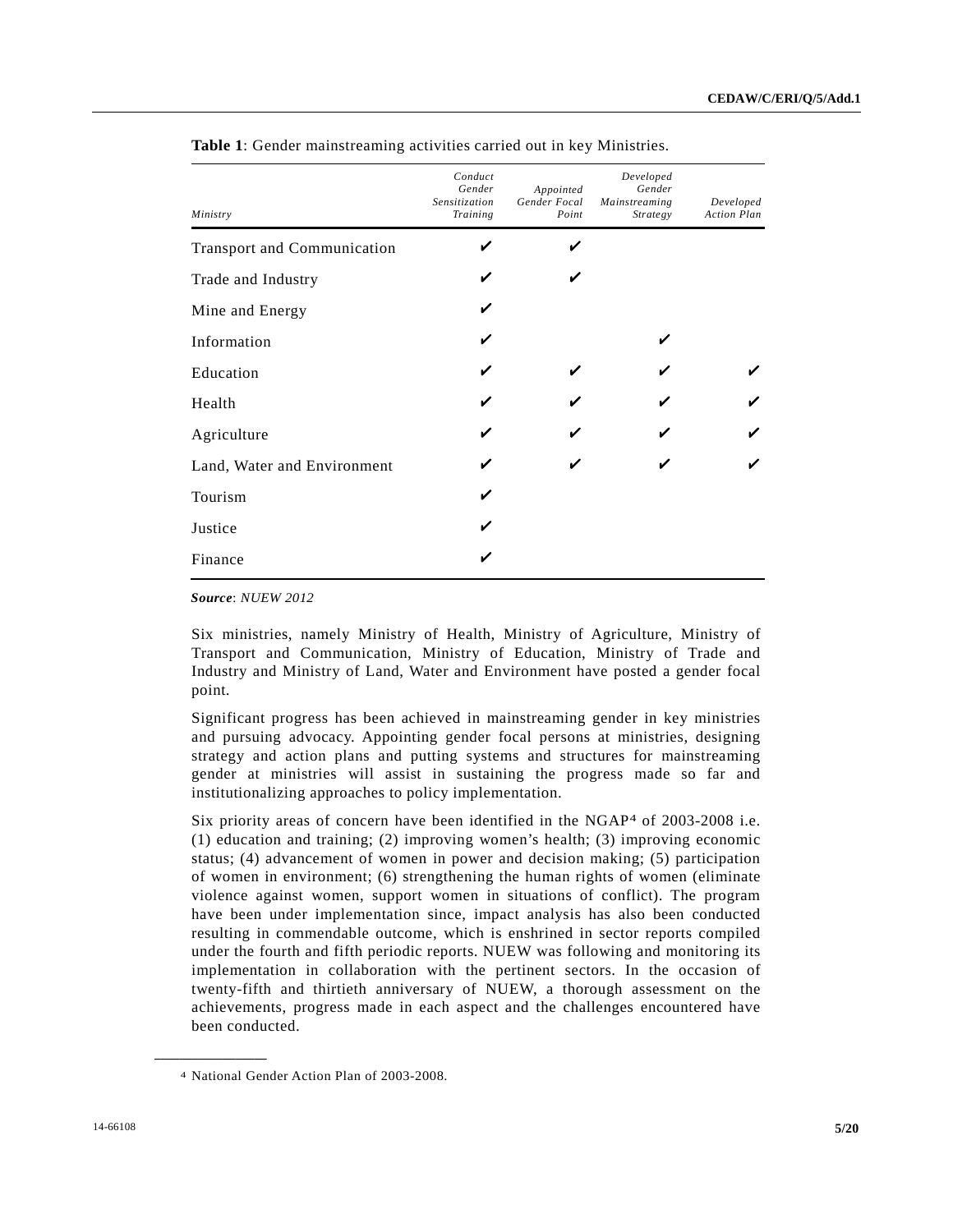| Ministry                           | Conduct<br>Gender<br>Sensitization<br>Training | Appointed<br>Gender Focal<br>Point | Developed<br>Gender<br>Mainstreaming<br><b>Strategy</b> | Developed<br><b>Action Plan</b> |
|------------------------------------|------------------------------------------------|------------------------------------|---------------------------------------------------------|---------------------------------|
| <b>Transport and Communication</b> |                                                |                                    |                                                         |                                 |
| Trade and Industry                 |                                                |                                    |                                                         |                                 |
| Mine and Energy                    |                                                |                                    |                                                         |                                 |
| Information                        |                                                |                                    | ✔                                                       |                                 |
| Education                          |                                                |                                    |                                                         |                                 |
| Health                             |                                                |                                    |                                                         |                                 |
| Agriculture                        |                                                |                                    |                                                         |                                 |
| Land, Water and Environment        |                                                |                                    |                                                         |                                 |
| Tourism                            |                                                |                                    |                                                         |                                 |
| Justice                            |                                                |                                    |                                                         |                                 |
| Finance                            |                                                |                                    |                                                         |                                 |

**Table 1**: Gender mainstreaming activities carried out in key Ministries.

*Source*: *NUEW 2012*

Six ministries, namely Ministry of Health, Ministry of Agriculture, Ministry of Transport and Communication, Ministry of Education, Ministry of Trade and Industry and Ministry of Land, Water and Environment have posted a gender focal point.

Significant progress has been achieved in mainstreaming gender in key ministries and pursuing advocacy. Appointing gender focal persons at ministries, designing strategy and action plans and putting systems and structures for mainstreaming gender at ministries will assist in sustaining the progress made so far and institutionalizing approaches to policy implementation.

Six priority areas of concern have been identified in the NGAP4 of 2003-2008 i.e. (1) education and training; (2) improving women's health; (3) improving economic status; (4) advancement of women in power and decision making; (5) participation of women in environment; (6) strengthening the human rights of women (eliminate violence against women, support women in situations of conflict). The program have been under implementation since, impact analysis has also been conducted resulting in commendable outcome, which is enshrined in sector reports compiled under the fourth and fifth periodic reports. NUEW was following and monitoring its implementation in collaboration with the pertinent sectors. In the occasion of twenty-fifth and thirtieth anniversary of NUEW, a thorough assessment on the achievements, progress made in each aspect and the challenges encountered have been conducted.

<sup>4</sup> National Gender Action Plan of 2003-2008.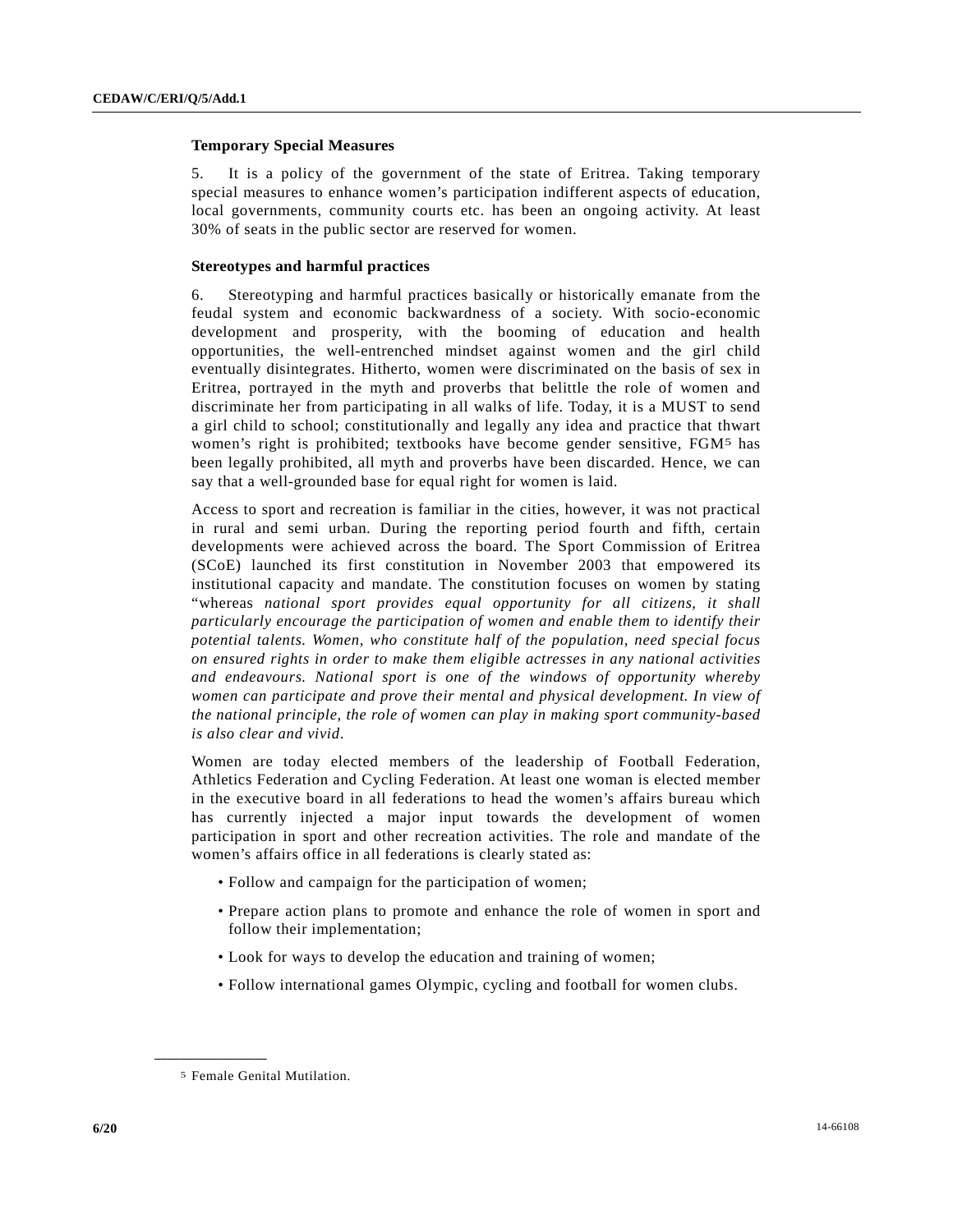# **Temporary Special Measures**

5. It is a policy of the government of the state of Eritrea. Taking temporary special measures to enhance women's participation indifferent aspects of education, local governments, community courts etc. has been an ongoing activity. At least 30% of seats in the public sector are reserved for women.

#### **Stereotypes and harmful practices**

6. Stereotyping and harmful practices basically or historically emanate from the feudal system and economic backwardness of a society. With socio-economic development and prosperity, with the booming of education and health opportunities, the well-entrenched mindset against women and the girl child eventually disintegrates. Hitherto, women were discriminated on the basis of sex in Eritrea, portrayed in the myth and proverbs that belittle the role of women and discriminate her from participating in all walks of life. Today, it is a MUST to send a girl child to school; constitutionally and legally any idea and practice that thwart women's right is prohibited; textbooks have become gender sensitive, FGM5 has been legally prohibited, all myth and proverbs have been discarded. Hence, we can say that a well-grounded base for equal right for women is laid.

Access to sport and recreation is familiar in the cities, however, it was not practical in rural and semi urban. During the reporting period fourth and fifth, certain developments were achieved across the board. The Sport Commission of Eritrea (SCoE) launched its first constitution in November 2003 that empowered its institutional capacity and mandate. The constitution focuses on women by stating "whereas *national sport provides equal opportunity for all citizens, it shall particularly encourage the participation of women and enable them to identify their potential talents. Women, who constitute half of the population, need special focus on ensured rights in order to make them eligible actresses in any national activities and endeavours. National sport is one of the windows of opportunity whereby women can participate and prove their mental and physical development. In view of the national principle, the role of women can play in making sport community-based is also clear and vivid*.

Women are today elected members of the leadership of Football Federation, Athletics Federation and Cycling Federation. At least one woman is elected member in the executive board in all federations to head the women's affairs bureau which has currently injected a major input towards the development of women participation in sport and other recreation activities. The role and mandate of the women's affairs office in all federations is clearly stated as:

- Follow and campaign for the participation of women;
- Prepare action plans to promote and enhance the role of women in sport and follow their implementation;
- Look for ways to develop the education and training of women;
- Follow international games Olympic, cycling and football for women clubs.

<sup>5</sup> Female Genital Mutilation.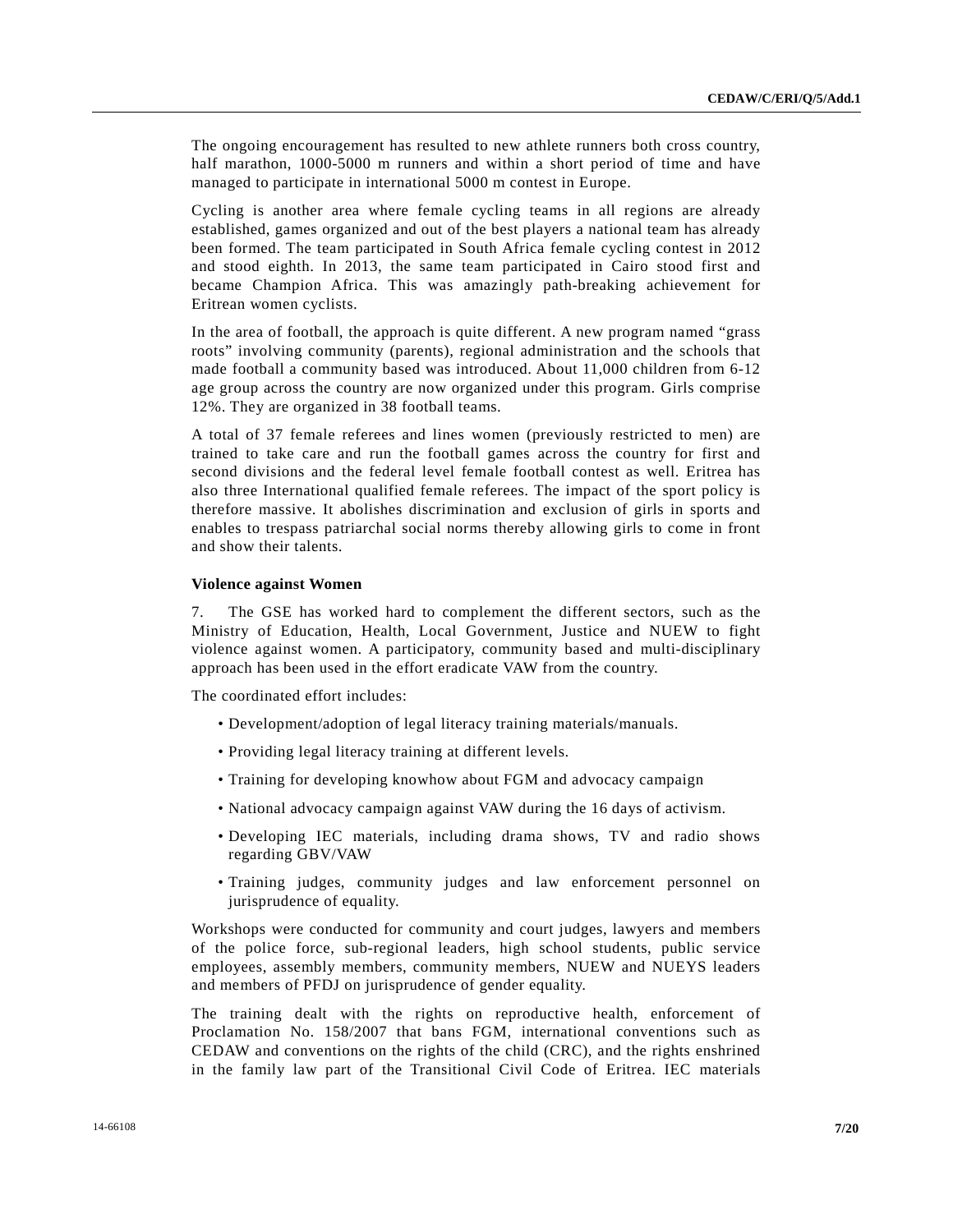The ongoing encouragement has resulted to new athlete runners both cross country, half marathon, 1000-5000 m runners and within a short period of time and have managed to participate in international 5000 m contest in Europe.

Cycling is another area where female cycling teams in all regions are already established, games organized and out of the best players a national team has already been formed. The team participated in South Africa female cycling contest in 2012 and stood eighth. In 2013, the same team participated in Cairo stood first and became Champion Africa. This was amazingly path-breaking achievement for Eritrean women cyclists.

In the area of football, the approach is quite different. A new program named "grass roots" involving community (parents), regional administration and the schools that made football a community based was introduced. About 11,000 children from 6-12 age group across the country are now organized under this program. Girls comprise 12%. They are organized in 38 football teams.

A total of 37 female referees and lines women (previously restricted to men) are trained to take care and run the football games across the country for first and second divisions and the federal level female football contest as well. Eritrea has also three International qualified female referees. The impact of the sport policy is therefore massive. It abolishes discrimination and exclusion of girls in sports and enables to trespass patriarchal social norms thereby allowing girls to come in front and show their talents.

#### **Violence against Women**

7. The GSE has worked hard to complement the different sectors, such as the Ministry of Education, Health, Local Government, Justice and NUEW to fight violence against women. A participatory, community based and multi-disciplinary approach has been used in the effort eradicate VAW from the country.

The coordinated effort includes:

- Development/adoption of legal literacy training materials/manuals.
- Providing legal literacy training at different levels.
- Training for developing knowhow about FGM and advocacy campaign
- National advocacy campaign against VAW during the 16 days of activism.
- Developing IEC materials, including drama shows, TV and radio shows regarding GBV/VAW
- Training judges, community judges and law enforcement personnel on jurisprudence of equality.

Workshops were conducted for community and court judges, lawyers and members of the police force, sub-regional leaders, high school students, public service employees, assembly members, community members, NUEW and NUEYS leaders and members of PFDJ on jurisprudence of gender equality.

The training dealt with the rights on reproductive health, enforcement of Proclamation No. 158/2007 that bans FGM, international conventions such as CEDAW and conventions on the rights of the child (CRC), and the rights enshrined in the family law part of the Transitional Civil Code of Eritrea. IEC materials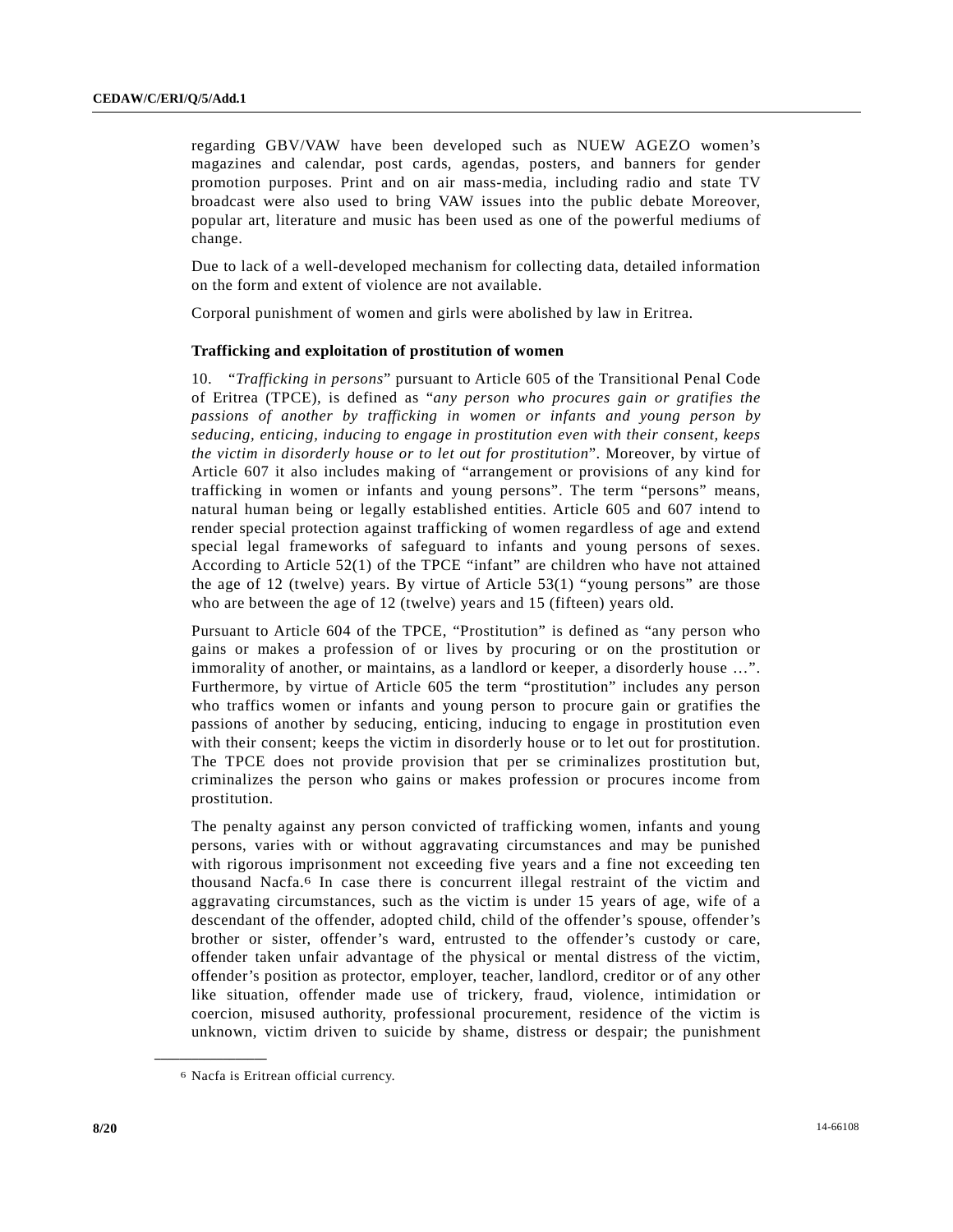regarding GBV/VAW have been developed such as NUEW AGEZO women's magazines and calendar, post cards, agendas, posters, and banners for gender promotion purposes. Print and on air mass-media, including radio and state TV broadcast were also used to bring VAW issues into the public debate Moreover, popular art, literature and music has been used as one of the powerful mediums of change.

Due to lack of a well-developed mechanism for collecting data, detailed information on the form and extent of violence are not available.

Corporal punishment of women and girls were abolished by law in Eritrea.

# **Trafficking and exploitation of prostitution of women**

10. "*Trafficking in persons*" pursuant to Article 605 of the Transitional Penal Code of Eritrea (TPCE), is defined as "*any person who procures gain or gratifies the passions of another by trafficking in women or infants and young person by seducing, enticing, inducing to engage in prostitution even with their consent, keeps the victim in disorderly house or to let out for prostitution*". Moreover, by virtue of Article 607 it also includes making of "arrangement or provisions of any kind for trafficking in women or infants and young persons". The term "persons" means, natural human being or legally established entities. Article 605 and 607 intend to render special protection against trafficking of women regardless of age and extend special legal frameworks of safeguard to infants and young persons of sexes. According to Article 52(1) of the TPCE "infant" are children who have not attained the age of 12 (twelve) years. By virtue of Article 53(1) "young persons" are those who are between the age of 12 (twelve) years and 15 (fifteen) years old.

Pursuant to Article 604 of the TPCE, "Prostitution" is defined as "any person who gains or makes a profession of or lives by procuring or on the prostitution or immorality of another, or maintains, as a landlord or keeper, a disorderly house …". Furthermore, by virtue of Article 605 the term "prostitution" includes any person who traffics women or infants and young person to procure gain or gratifies the passions of another by seducing, enticing, inducing to engage in prostitution even with their consent; keeps the victim in disorderly house or to let out for prostitution. The TPCE does not provide provision that per se criminalizes prostitution but, criminalizes the person who gains or makes profession or procures income from prostitution.

The penalty against any person convicted of trafficking women, infants and young persons, varies with or without aggravating circumstances and may be punished with rigorous imprisonment not exceeding five years and a fine not exceeding ten thousand Nacfa.6 In case there is concurrent illegal restraint of the victim and aggravating circumstances, such as the victim is under 15 years of age, wife of a descendant of the offender, adopted child, child of the offender's spouse, offender's brother or sister, offender's ward, entrusted to the offender's custody or care, offender taken unfair advantage of the physical or mental distress of the victim, offender's position as protector, employer, teacher, landlord, creditor or of any other like situation, offender made use of trickery, fraud, violence, intimidation or coercion, misused authority, professional procurement, residence of the victim is unknown, victim driven to suicide by shame, distress or despair; the punishment

<sup>6</sup> Nacfa is Eritrean official currency.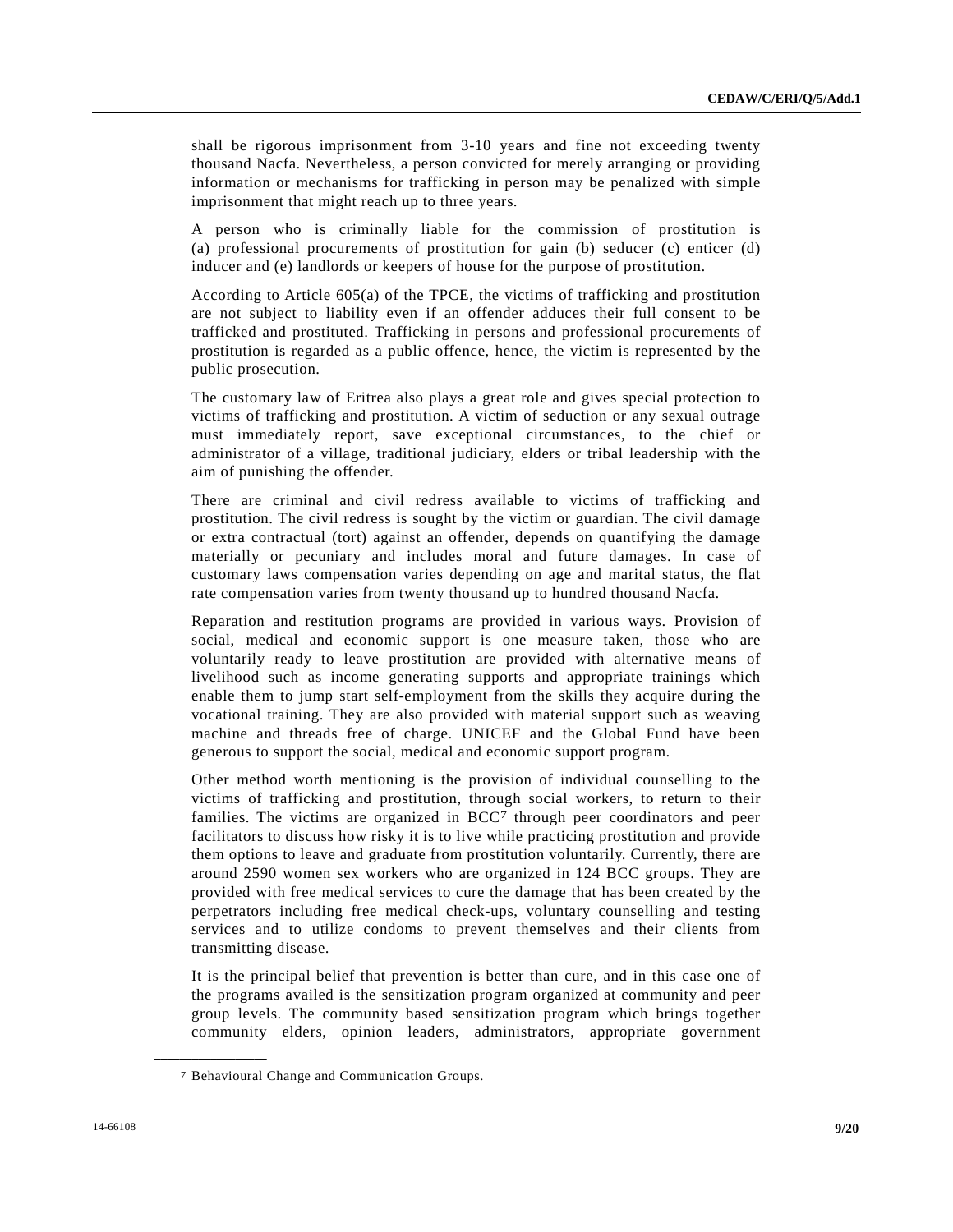shall be rigorous imprisonment from 3-10 years and fine not exceeding twenty thousand Nacfa. Nevertheless, a person convicted for merely arranging or providing information or mechanisms for trafficking in person may be penalized with simple imprisonment that might reach up to three years.

A person who is criminally liable for the commission of prostitution is (a) professional procurements of prostitution for gain (b) seducer (c) enticer (d) inducer and (e) landlords or keepers of house for the purpose of prostitution.

According to Article 605(a) of the TPCE, the victims of trafficking and prostitution are not subject to liability even if an offender adduces their full consent to be trafficked and prostituted. Trafficking in persons and professional procurements of prostitution is regarded as a public offence, hence, the victim is represented by the public prosecution.

The customary law of Eritrea also plays a great role and gives special protection to victims of trafficking and prostitution. A victim of seduction or any sexual outrage must immediately report, save exceptional circumstances, to the chief or administrator of a village, traditional judiciary, elders or tribal leadership with the aim of punishing the offender.

There are criminal and civil redress available to victims of trafficking and prostitution. The civil redress is sought by the victim or guardian. The civil damage or extra contractual (tort) against an offender, depends on quantifying the damage materially or pecuniary and includes moral and future damages. In case of customary laws compensation varies depending on age and marital status, the flat rate compensation varies from twenty thousand up to hundred thousand Nacfa.

Reparation and restitution programs are provided in various ways. Provision of social, medical and economic support is one measure taken, those who are voluntarily ready to leave prostitution are provided with alternative means of livelihood such as income generating supports and appropriate trainings which enable them to jump start self-employment from the skills they acquire during the vocational training. They are also provided with material support such as weaving machine and threads free of charge. UNICEF and the Global Fund have been generous to support the social, medical and economic support program.

Other method worth mentioning is the provision of individual counselling to the victims of trafficking and prostitution, through social workers, to return to their families. The victims are organized in BCC<sup>7</sup> through peer coordinators and peer facilitators to discuss how risky it is to live while practicing prostitution and provide them options to leave and graduate from prostitution voluntarily. Currently, there are around 2590 women sex workers who are organized in 124 BCC groups. They are provided with free medical services to cure the damage that has been created by the perpetrators including free medical check-ups, voluntary counselling and testing services and to utilize condoms to prevent themselves and their clients from transmitting disease.

It is the principal belief that prevention is better than cure, and in this case one of the programs availed is the sensitization program organized at community and peer group levels. The community based sensitization program which brings together community elders, opinion leaders, administrators, appropriate government

<sup>7</sup> Behavioural Change and Communication Groups.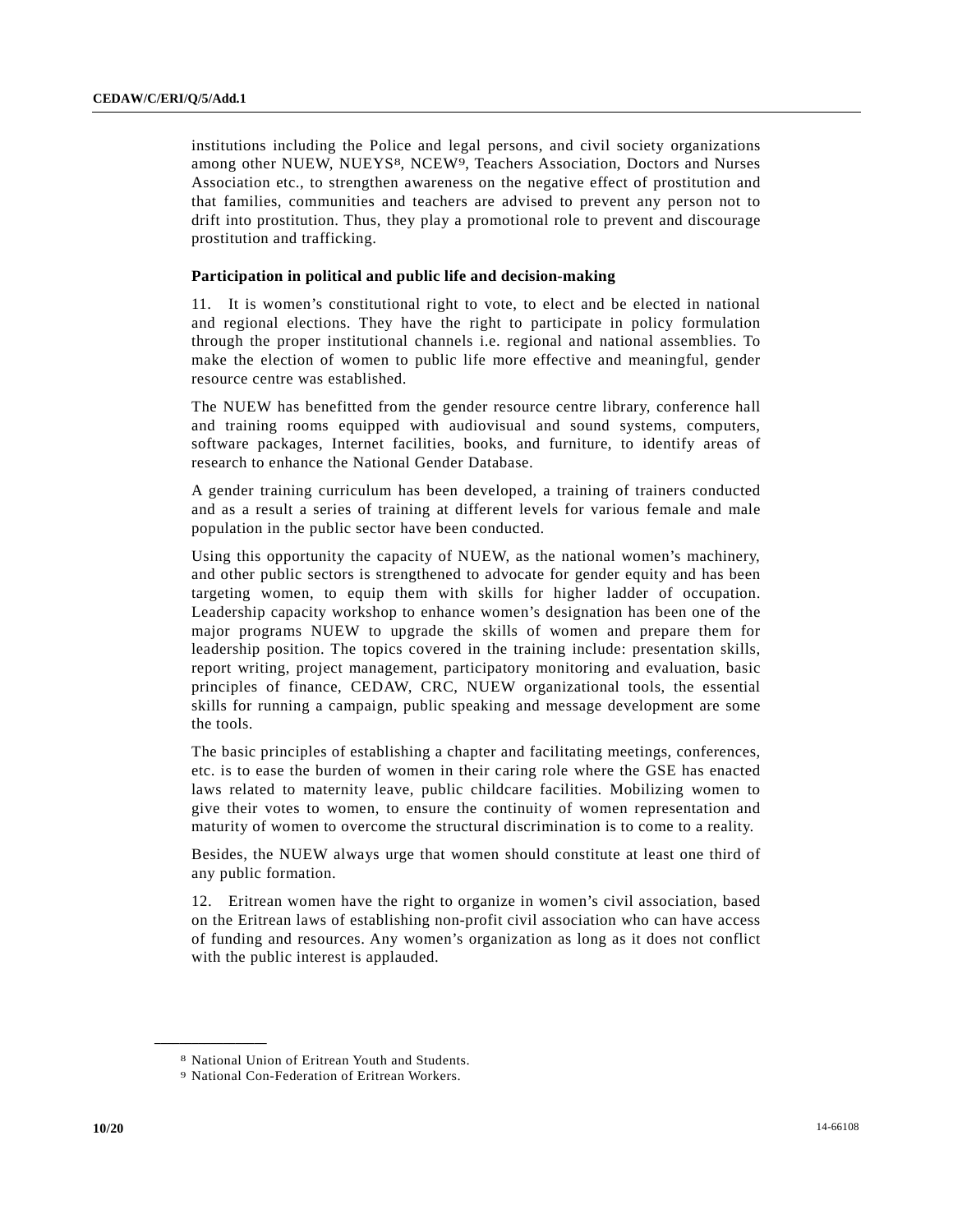institutions including the Police and legal persons, and civil society organizations among other NUEW, NUEYS<sup>8</sup>, NCEW<sup>9</sup>, Teachers Association, Doctors and Nurses Association etc., to strengthen awareness on the negative effect of prostitution and that families, communities and teachers are advised to prevent any person not to drift into prostitution. Thus, they play a promotional role to prevent and discourage prostitution and trafficking.

#### **Participation in political and public life and decision-making**

11. It is women's constitutional right to vote, to elect and be elected in national and regional elections. They have the right to participate in policy formulation through the proper institutional channels i.e. regional and national assemblies. To make the election of women to public life more effective and meaningful, gender resource centre was established.

The NUEW has benefitted from the gender resource centre library, conference hall and training rooms equipped with audiovisual and sound systems, computers, software packages, Internet facilities, books, and furniture, to identify areas of research to enhance the National Gender Database.

A gender training curriculum has been developed, a training of trainers conducted and as a result a series of training at different levels for various female and male population in the public sector have been conducted.

Using this opportunity the capacity of NUEW, as the national women's machinery, and other public sectors is strengthened to advocate for gender equity and has been targeting women, to equip them with skills for higher ladder of occupation. Leadership capacity workshop to enhance women's designation has been one of the major programs NUEW to upgrade the skills of women and prepare them for leadership position. The topics covered in the training include: presentation skills, report writing, project management, participatory monitoring and evaluation, basic principles of finance, CEDAW, CRC, NUEW organizational tools, the essential skills for running a campaign, public speaking and message development are some the tools.

The basic principles of establishing a chapter and facilitating meetings, conferences, etc. is to ease the burden of women in their caring role where the GSE has enacted laws related to maternity leave, public childcare facilities. Mobilizing women to give their votes to women, to ensure the continuity of women representation and maturity of women to overcome the structural discrimination is to come to a reality.

Besides, the NUEW always urge that women should constitute at least one third of any public formation.

12. Eritrean women have the right to organize in women's civil association, based on the Eritrean laws of establishing non-profit civil association who can have access of funding and resources. Any women's organization as long as it does not conflict with the public interest is applauded.

<sup>8</sup> National Union of Eritrean Youth and Students.

<sup>9</sup> National Con-Federation of Eritrean Workers.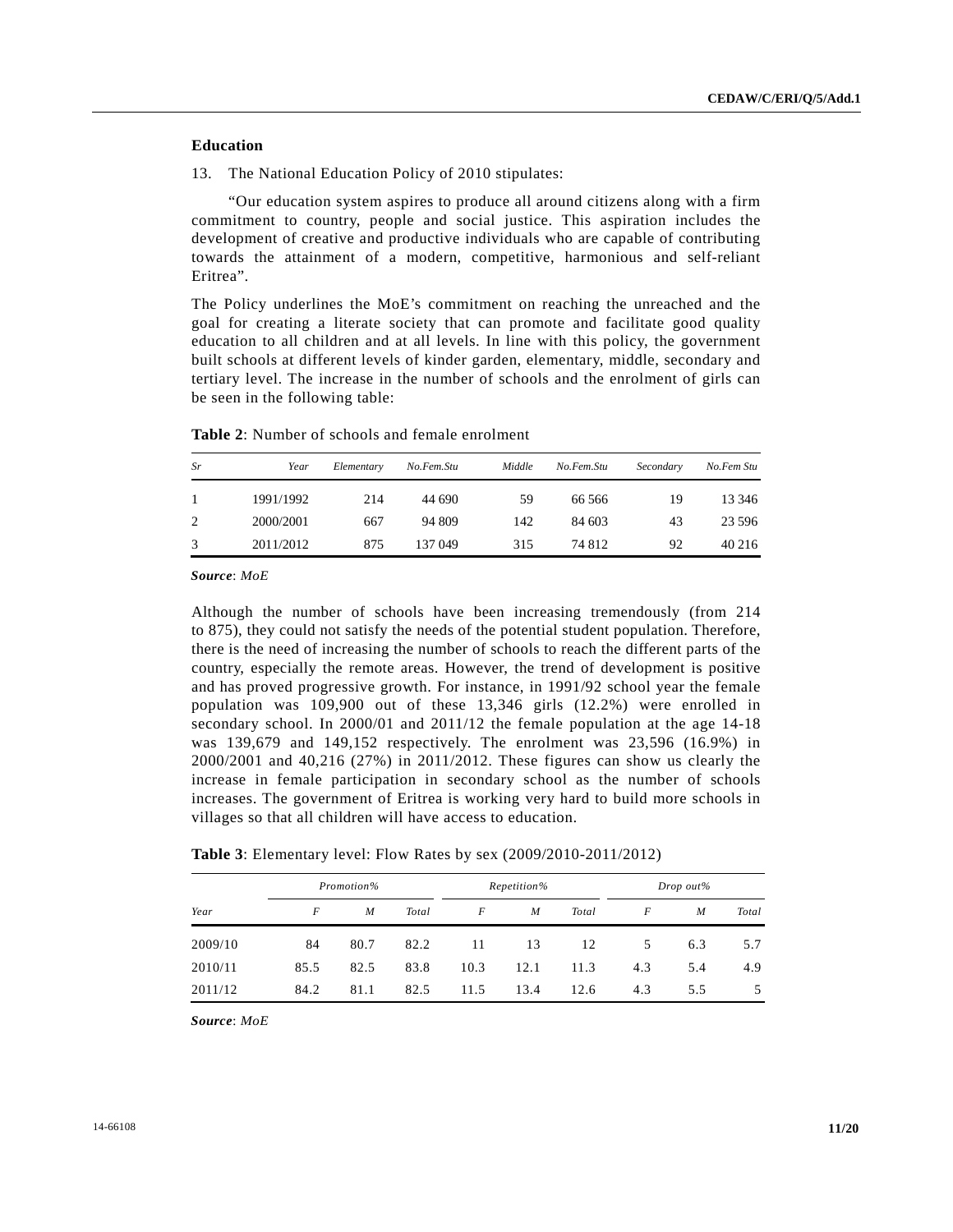# **Education**

13. The National Education Policy of 2010 stipulates:

 "Our education system aspires to produce all around citizens along with a firm commitment to country, people and social justice. This aspiration includes the development of creative and productive individuals who are capable of contributing towards the attainment of a modern, competitive, harmonious and self-reliant Eritrea".

The Policy underlines the MoE's commitment on reaching the unreached and the goal for creating a literate society that can promote and facilitate good quality education to all children and at all levels. In line with this policy, the government built schools at different levels of kinder garden, elementary, middle, secondary and tertiary level. The increase in the number of schools and the enrolment of girls can be seen in the following table:

| Sr | Year      | Elementary | No.Fem.Stu | Middle | No.Fem.Stu | Secondary | No.Fem Stu |
|----|-----------|------------|------------|--------|------------|-----------|------------|
| 1  | 1991/1992 | 214        | 44 690     | 59     | 66 566     | 19        | 13 34 6    |
| 2  | 2000/2001 | 667        | 94 809     | 142    | 84 603     | 43        | 23 5 9 6   |
| 3  | 2011/2012 | 875        | 137 049    | 315    | 74 812     | 92        | 40 216     |

**Table 2**: Number of schools and female enrolment

*Source*: *MoE*

Although the number of schools have been increasing tremendously (from 214 to 875), they could not satisfy the needs of the potential student population. Therefore, there is the need of increasing the number of schools to reach the different parts of the country, especially the remote areas. However, the trend of development is positive and has proved progressive growth. For instance, in 1991/92 school year the female population was 109,900 out of these 13,346 girls (12.2%) were enrolled in secondary school. In 2000/01 and 2011/12 the female population at the age 14-18 was 139,679 and 149,152 respectively. The enrolment was 23,596 (16.9%) in 2000/2001 and 40,216 (27%) in 2011/2012. These figures can show us clearly the increase in female participation in secondary school as the number of schools increases. The government of Eritrea is working very hard to build more schools in villages so that all children will have access to education.

**Table 3**: Elementary level: Flow Rates by sex (2009/2010-2011/2012)

|         | Promotion% |                  |       | Repetition% |                  |       | Drop out% |     |               |
|---------|------------|------------------|-------|-------------|------------------|-------|-----------|-----|---------------|
| Year    | F          | $\boldsymbol{M}$ | Total | F           | $\boldsymbol{M}$ | Total | F         | M   | Total         |
| 2009/10 | 84         | 80.7             | 82.2  | 11          | 13               | 12    | 5.        | 6.3 | 5.7           |
| 2010/11 | 85.5       | 82.5             | 83.8  | 10.3        | 12.1             | 11.3  | 4.3       | 5.4 | 4.9           |
| 2011/12 | 84.2       | 81.1             | 82.5  | 11.5        | 13.4             | 12.6  | 4.3       | 5.5 | $\mathcal{D}$ |

*Source*: *MoE*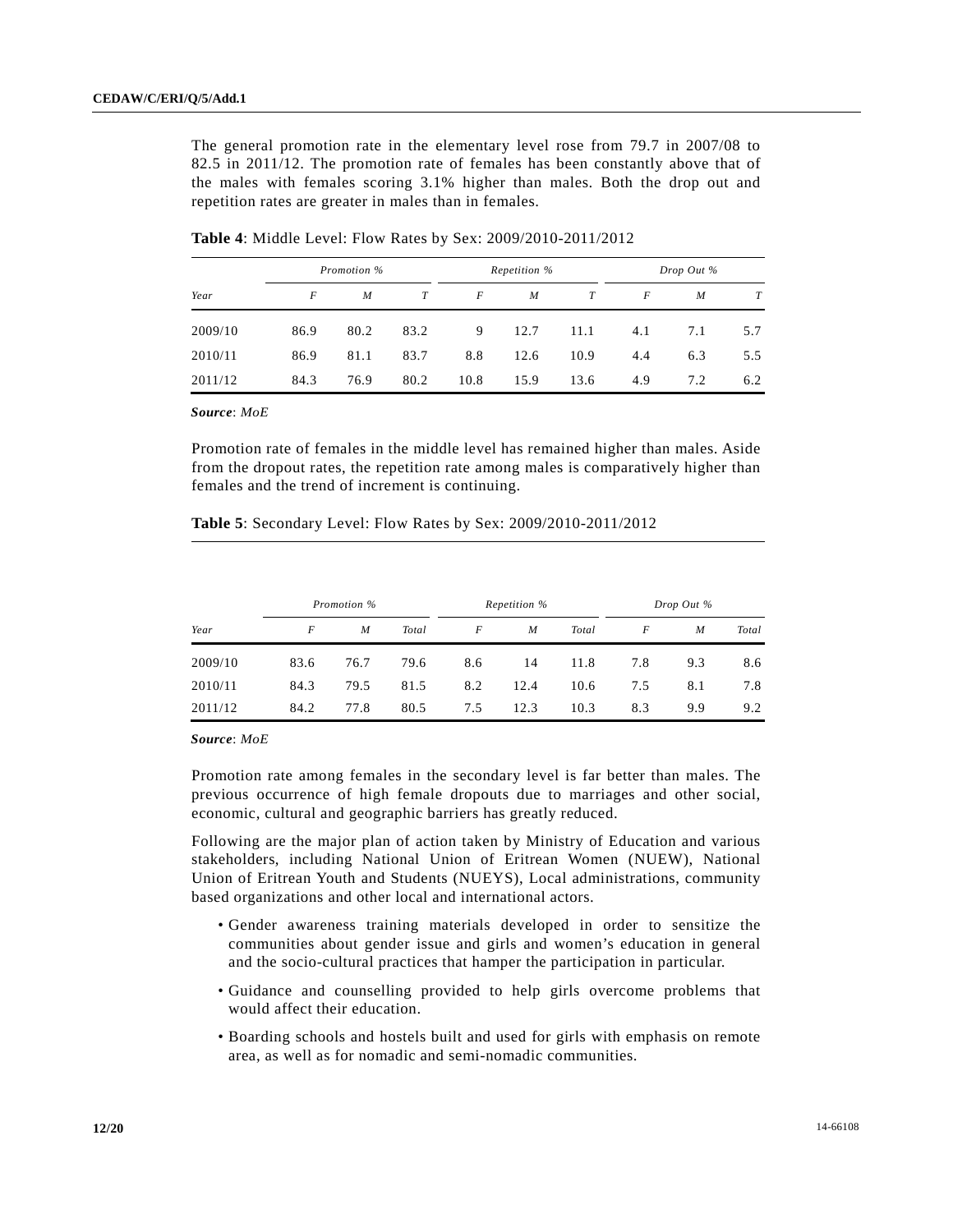The general promotion rate in the elementary level rose from 79.7 in 2007/08 to 82.5 in 2011/12. The promotion rate of females has been constantly above that of the males with females scoring 3.1% higher than males. Both the drop out and repetition rates are greater in males than in females.

|         | Promotion % |                  |      | Repetition % |                  |      | Drop Out % |     |     |
|---------|-------------|------------------|------|--------------|------------------|------|------------|-----|-----|
| Year    | F           | $\boldsymbol{M}$ | T    | F            | $\boldsymbol{M}$ | T    | F          | M   | T   |
| 2009/10 | 86.9        | 80.2             | 83.2 | 9            | 12.7             | 11.1 | 4.1        | 7.1 | 5.7 |
| 2010/11 | 86.9        | 81.1             | 83.7 | 8.8          | 12.6             | 10.9 | 4.4        | 6.3 | 5.5 |
| 2011/12 | 84.3        | 76.9             | 80.2 | 10.8         | 15.9             | 13.6 | 4.9        | 7.2 | 6.2 |

**Table 4**: Middle Level: Flow Rates by Sex: 2009/2010-2011/2012

*Source*: *MoE*

Promotion rate of females in the middle level has remained higher than males. Aside from the dropout rates, the repetition rate among males is comparatively higher than females and the trend of increment is continuing.

|         | Promotion % |      |       | Repetition % |      |       | Drop Out % |     |       |
|---------|-------------|------|-------|--------------|------|-------|------------|-----|-------|
| Year    | F           | M    | Total | F            | M    | Total | F          | M   | Total |
| 2009/10 | 83.6        | 76.7 | 79.6  | 8.6          | 14   | 11.8  | 7.8        | 9.3 | 8.6   |
| 2010/11 | 84.3        | 79.5 | 81.5  | 8.2          | 12.4 | 10.6  | 7.5        | 8.1 | 7.8   |
| 2011/12 | 84.2        | 77.8 | 80.5  | 7.5          | 12.3 | 10.3  | 8.3        | 9.9 | 9.2   |

**Table 5**: Secondary Level: Flow Rates by Sex: 2009/2010-2011/2012

*Source*: *MoE*

Promotion rate among females in the secondary level is far better than males. The previous occurrence of high female dropouts due to marriages and other social, economic, cultural and geographic barriers has greatly reduced.

Following are the major plan of action taken by Ministry of Education and various stakeholders, including National Union of Eritrean Women (NUEW), National Union of Eritrean Youth and Students (NUEYS), Local administrations, community based organizations and other local and international actors.

- Gender awareness training materials developed in order to sensitize the communities about gender issue and girls and women's education in general and the socio-cultural practices that hamper the participation in particular.
- Guidance and counselling provided to help girls overcome problems that would affect their education.
- Boarding schools and hostels built and used for girls with emphasis on remote area, as well as for nomadic and semi-nomadic communities.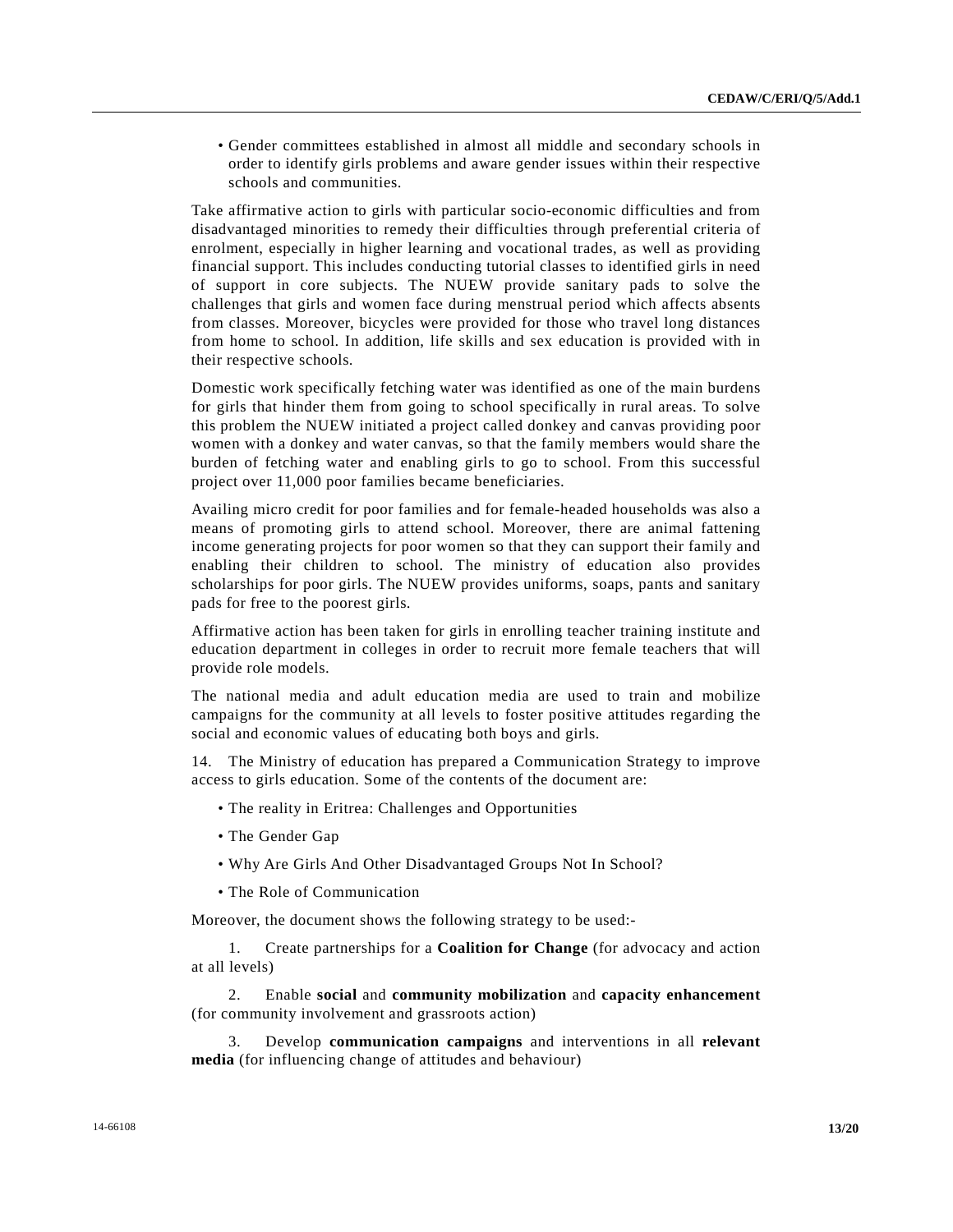• Gender committees established in almost all middle and secondary schools in order to identify girls problems and aware gender issues within their respective schools and communities.

Take affirmative action to girls with particular socio-economic difficulties and from disadvantaged minorities to remedy their difficulties through preferential criteria of enrolment, especially in higher learning and vocational trades, as well as providing financial support. This includes conducting tutorial classes to identified girls in need of support in core subjects. The NUEW provide sanitary pads to solve the challenges that girls and women face during menstrual period which affects absents from classes. Moreover, bicycles were provided for those who travel long distances from home to school. In addition, life skills and sex education is provided with in their respective schools.

Domestic work specifically fetching water was identified as one of the main burdens for girls that hinder them from going to school specifically in rural areas. To solve this problem the NUEW initiated a project called donkey and canvas providing poor women with a donkey and water canvas, so that the family members would share the burden of fetching water and enabling girls to go to school. From this successful project over 11,000 poor families became beneficiaries.

Availing micro credit for poor families and for female-headed households was also a means of promoting girls to attend school. Moreover, there are animal fattening income generating projects for poor women so that they can support their family and enabling their children to school. The ministry of education also provides scholarships for poor girls. The NUEW provides uniforms, soaps, pants and sanitary pads for free to the poorest girls.

Affirmative action has been taken for girls in enrolling teacher training institute and education department in colleges in order to recruit more female teachers that will provide role models.

The national media and adult education media are used to train and mobilize campaigns for the community at all levels to foster positive attitudes regarding the social and economic values of educating both boys and girls.

14. The Ministry of education has prepared a Communication Strategy to improve access to girls education. Some of the contents of the document are:

- The reality in Eritrea: Challenges and Opportunities
- The Gender Gap
- Why Are Girls And Other Disadvantaged Groups Not In School?
- The Role of Communication

Moreover, the document shows the following strategy to be used:-

 1. Create partnerships for a **Coalition for Change** (for advocacy and action at all levels)

 2. Enable **social** and **community mobilization** and **capacity enhancement** (for community involvement and grassroots action)

 3. Develop **communication campaigns** and interventions in all **relevant media** (for influencing change of attitudes and behaviour)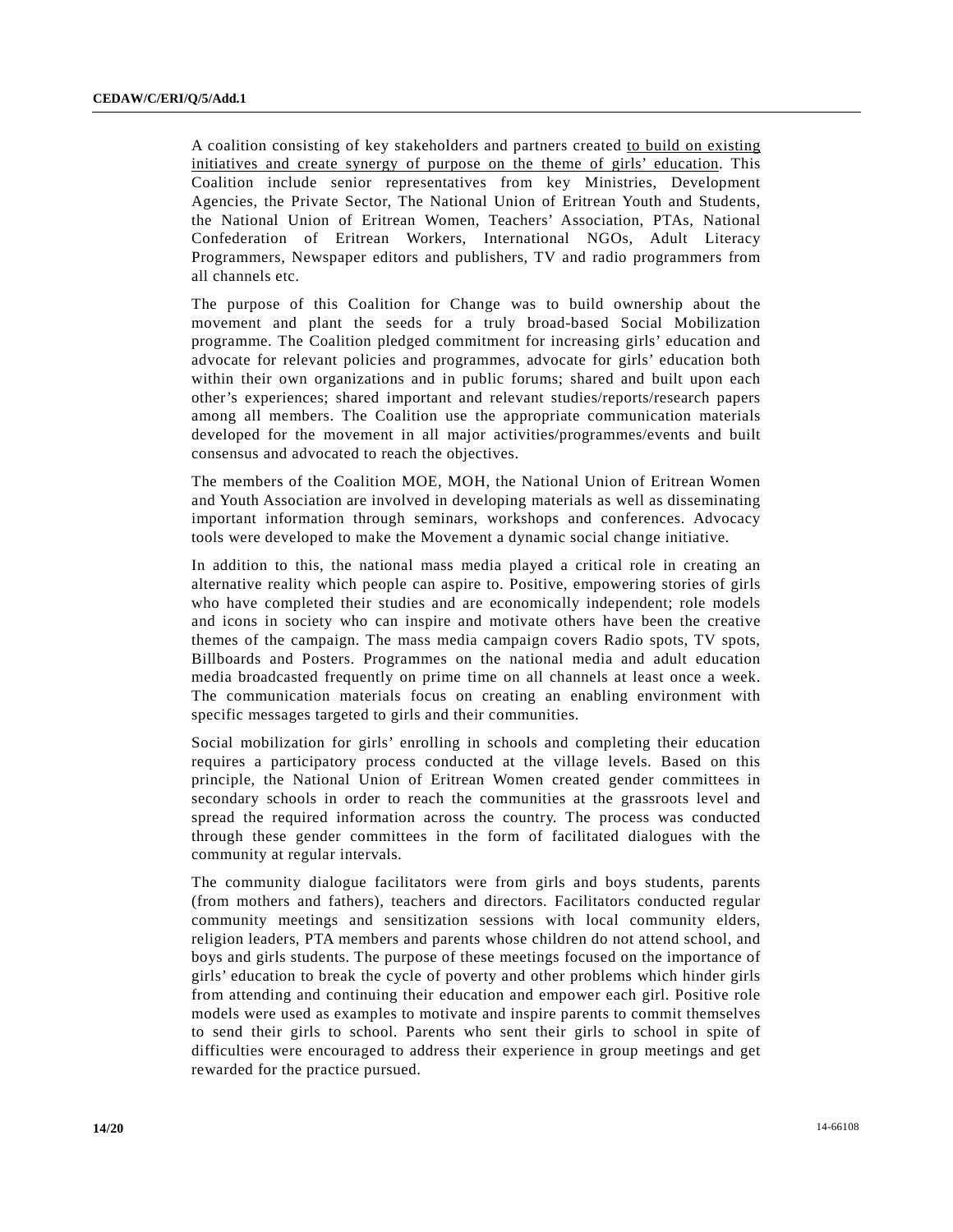A coalition consisting of key stakeholders and partners created to build on existing initiatives and create synergy of purpose on the theme of girls' education. This Coalition include senior representatives from key Ministries, Development Agencies, the Private Sector, The National Union of Eritrean Youth and Students, the National Union of Eritrean Women, Teachers' Association, PTAs, National Confederation of Eritrean Workers, International NGOs, Adult Literacy Programmers, Newspaper editors and publishers, TV and radio programmers from all channels etc.

The purpose of this Coalition for Change was to build ownership about the movement and plant the seeds for a truly broad-based Social Mobilization programme. The Coalition pledged commitment for increasing girls' education and advocate for relevant policies and programmes, advocate for girls' education both within their own organizations and in public forums; shared and built upon each other's experiences; shared important and relevant studies/reports/research papers among all members. The Coalition use the appropriate communication materials developed for the movement in all major activities/programmes/events and built consensus and advocated to reach the objectives.

The members of the Coalition MOE, MOH, the National Union of Eritrean Women and Youth Association are involved in developing materials as well as disseminating important information through seminars, workshops and conferences. Advocacy tools were developed to make the Movement a dynamic social change initiative.

In addition to this, the national mass media played a critical role in creating an alternative reality which people can aspire to. Positive, empowering stories of girls who have completed their studies and are economically independent; role models and icons in society who can inspire and motivate others have been the creative themes of the campaign. The mass media campaign covers Radio spots, TV spots, Billboards and Posters. Programmes on the national media and adult education media broadcasted frequently on prime time on all channels at least once a week. The communication materials focus on creating an enabling environment with specific messages targeted to girls and their communities.

Social mobilization for girls' enrolling in schools and completing their education requires a participatory process conducted at the village levels. Based on this principle, the National Union of Eritrean Women created gender committees in secondary schools in order to reach the communities at the grassroots level and spread the required information across the country. The process was conducted through these gender committees in the form of facilitated dialogues with the community at regular intervals.

The community dialogue facilitators were from girls and boys students, parents (from mothers and fathers), teachers and directors. Facilitators conducted regular community meetings and sensitization sessions with local community elders, religion leaders, PTA members and parents whose children do not attend school, and boys and girls students. The purpose of these meetings focused on the importance of girls' education to break the cycle of poverty and other problems which hinder girls from attending and continuing their education and empower each girl. Positive role models were used as examples to motivate and inspire parents to commit themselves to send their girls to school. Parents who sent their girls to school in spite of difficulties were encouraged to address their experience in group meetings and get rewarded for the practice pursued.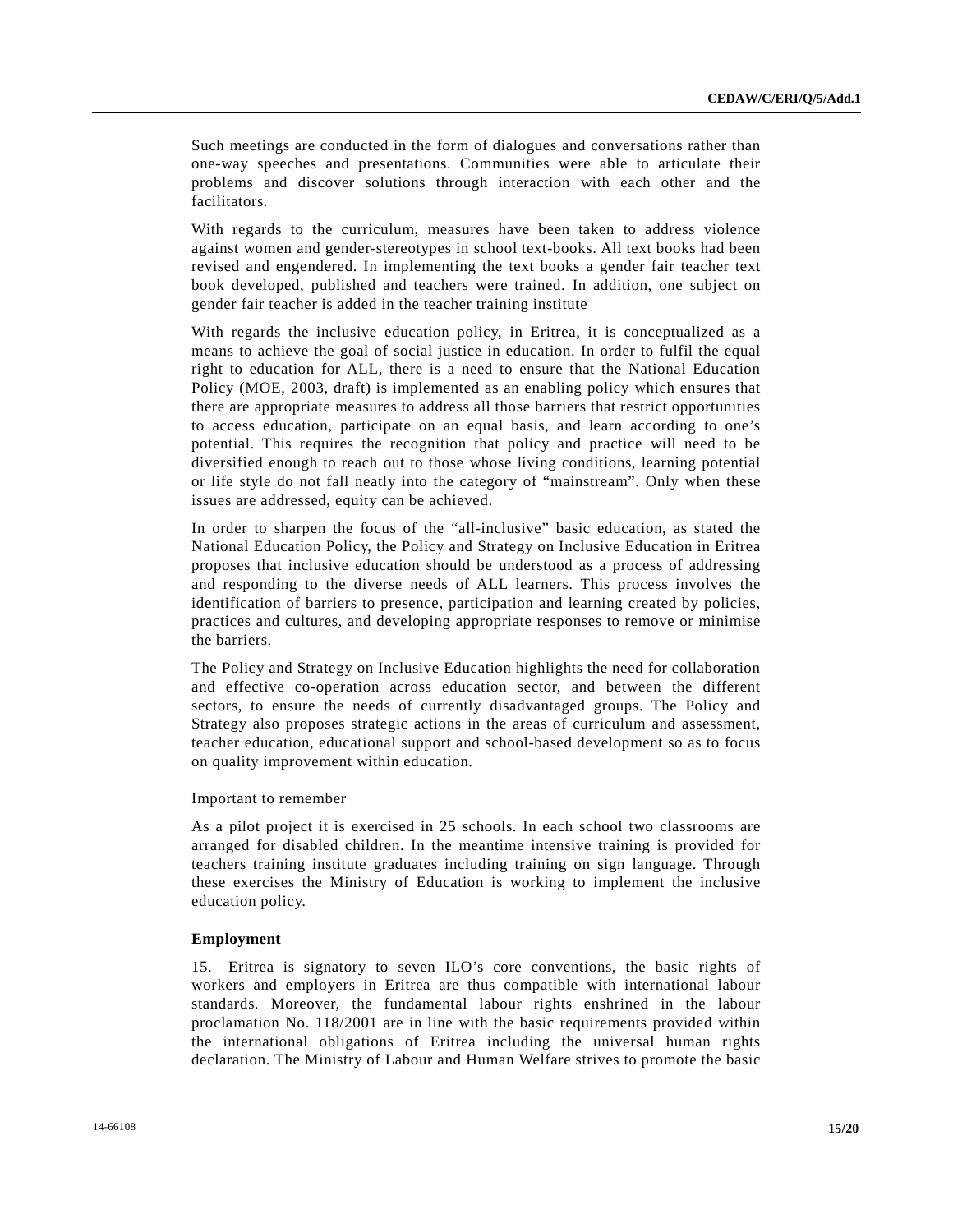Such meetings are conducted in the form of dialogues and conversations rather than one-way speeches and presentations. Communities were able to articulate their problems and discover solutions through interaction with each other and the facilitators.

With regards to the curriculum, measures have been taken to address violence against women and gender-stereotypes in school text-books. All text books had been revised and engendered. In implementing the text books a gender fair teacher text book developed, published and teachers were trained. In addition, one subject on gender fair teacher is added in the teacher training institute

With regards the inclusive education policy, in Eritrea, it is conceptualized as a means to achieve the goal of social justice in education. In order to fulfil the equal right to education for ALL, there is a need to ensure that the National Education Policy (MOE, 2003, draft) is implemented as an enabling policy which ensures that there are appropriate measures to address all those barriers that restrict opportunities to access education, participate on an equal basis, and learn according to one's potential. This requires the recognition that policy and practice will need to be diversified enough to reach out to those whose living conditions, learning potential or life style do not fall neatly into the category of "mainstream". Only when these issues are addressed, equity can be achieved.

In order to sharpen the focus of the "all-inclusive" basic education, as stated the National Education Policy, the Policy and Strategy on Inclusive Education in Eritrea proposes that inclusive education should be understood as a process of addressing and responding to the diverse needs of ALL learners. This process involves the identification of barriers to presence, participation and learning created by policies, practices and cultures, and developing appropriate responses to remove or minimise the barriers.

The Policy and Strategy on Inclusive Education highlights the need for collaboration and effective co-operation across education sector, and between the different sectors, to ensure the needs of currently disadvantaged groups. The Policy and Strategy also proposes strategic actions in the areas of curriculum and assessment, teacher education, educational support and school-based development so as to focus on quality improvement within education.

Important to remember

As a pilot project it is exercised in 25 schools. In each school two classrooms are arranged for disabled children. In the meantime intensive training is provided for teachers training institute graduates including training on sign language. Through these exercises the Ministry of Education is working to implement the inclusive education policy.

#### **Employment**

15. Eritrea is signatory to seven ILO's core conventions, the basic rights of workers and employers in Eritrea are thus compatible with international labour standards. Moreover, the fundamental labour rights enshrined in the labour proclamation No. 118/2001 are in line with the basic requirements provided within the international obligations of Eritrea including the universal human rights declaration. The Ministry of Labour and Human Welfare strives to promote the basic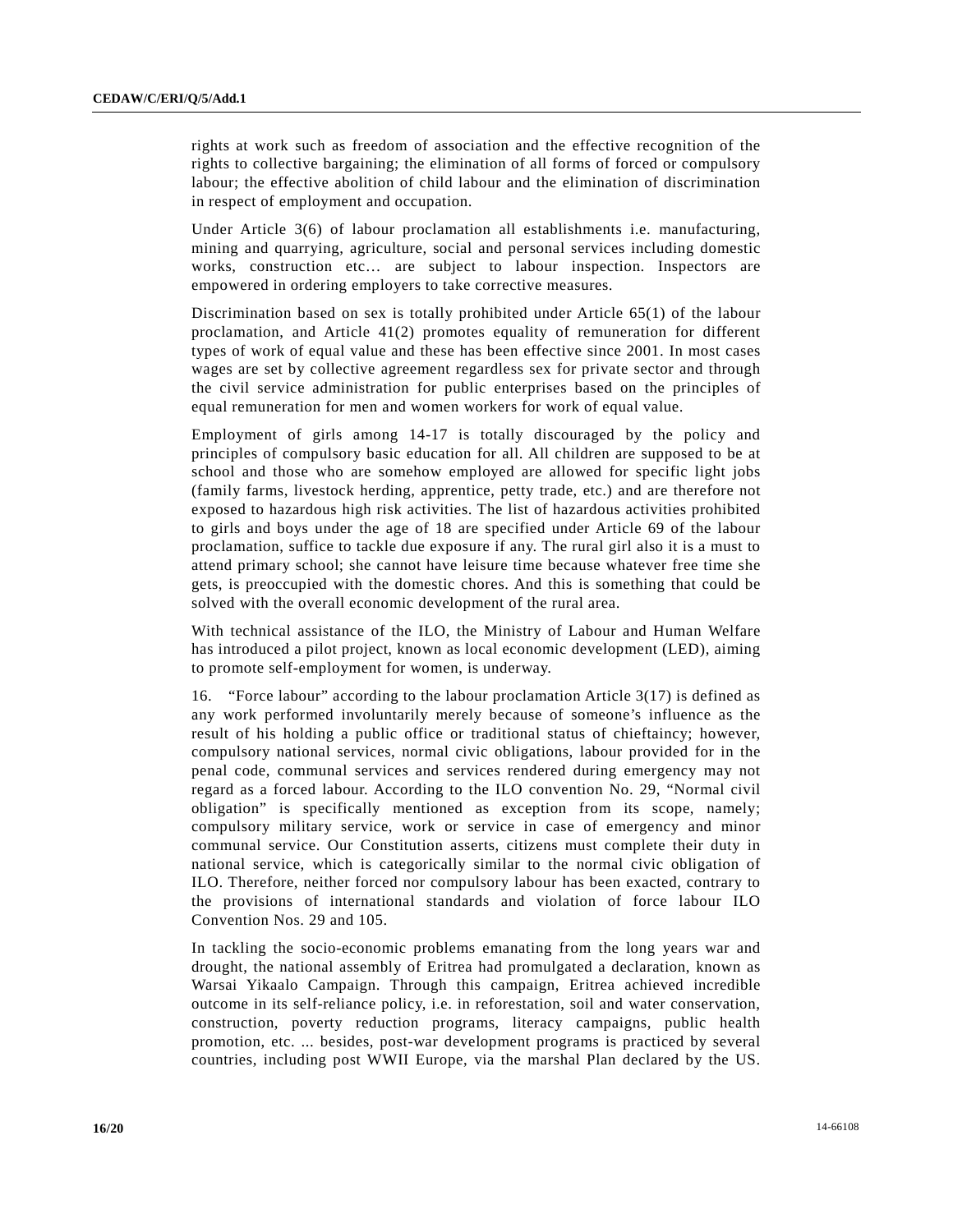rights at work such as freedom of association and the effective recognition of the rights to collective bargaining; the elimination of all forms of forced or compulsory labour; the effective abolition of child labour and the elimination of discrimination in respect of employment and occupation.

Under Article 3(6) of labour proclamation all establishments i.e. manufacturing, mining and quarrying, agriculture, social and personal services including domestic works, construction etc… are subject to labour inspection. Inspectors are empowered in ordering employers to take corrective measures.

Discrimination based on sex is totally prohibited under Article 65(1) of the labour proclamation, and Article 41(2) promotes equality of remuneration for different types of work of equal value and these has been effective since 2001. In most cases wages are set by collective agreement regardless sex for private sector and through the civil service administration for public enterprises based on the principles of equal remuneration for men and women workers for work of equal value.

Employment of girls among 14-17 is totally discouraged by the policy and principles of compulsory basic education for all. All children are supposed to be at school and those who are somehow employed are allowed for specific light jobs (family farms, livestock herding, apprentice, petty trade, etc.) and are therefore not exposed to hazardous high risk activities. The list of hazardous activities prohibited to girls and boys under the age of 18 are specified under Article 69 of the labour proclamation, suffice to tackle due exposure if any. The rural girl also it is a must to attend primary school; she cannot have leisure time because whatever free time she gets, is preoccupied with the domestic chores. And this is something that could be solved with the overall economic development of the rural area.

With technical assistance of the ILO, the Ministry of Labour and Human Welfare has introduced a pilot project, known as local economic development (LED), aiming to promote self-employment for women, is underway.

16. "Force labour" according to the labour proclamation Article 3(17) is defined as any work performed involuntarily merely because of someone's influence as the result of his holding a public office or traditional status of chieftaincy; however, compulsory national services, normal civic obligations, labour provided for in the penal code, communal services and services rendered during emergency may not regard as a forced labour. According to the ILO convention No. 29, "Normal civil obligation" is specifically mentioned as exception from its scope, namely; compulsory military service, work or service in case of emergency and minor communal service. Our Constitution asserts, citizens must complete their duty in national service, which is categorically similar to the normal civic obligation of ILO. Therefore, neither forced nor compulsory labour has been exacted, contrary to the provisions of international standards and violation of force labour ILO Convention Nos. 29 and 105.

In tackling the socio-economic problems emanating from the long years war and drought, the national assembly of Eritrea had promulgated a declaration, known as Warsai Yikaalo Campaign. Through this campaign, Eritrea achieved incredible outcome in its self-reliance policy, i.e. in reforestation, soil and water conservation, construction, poverty reduction programs, literacy campaigns, public health promotion, etc. ... besides, post-war development programs is practiced by several countries, including post WWII Europe, via the marshal Plan declared by the US.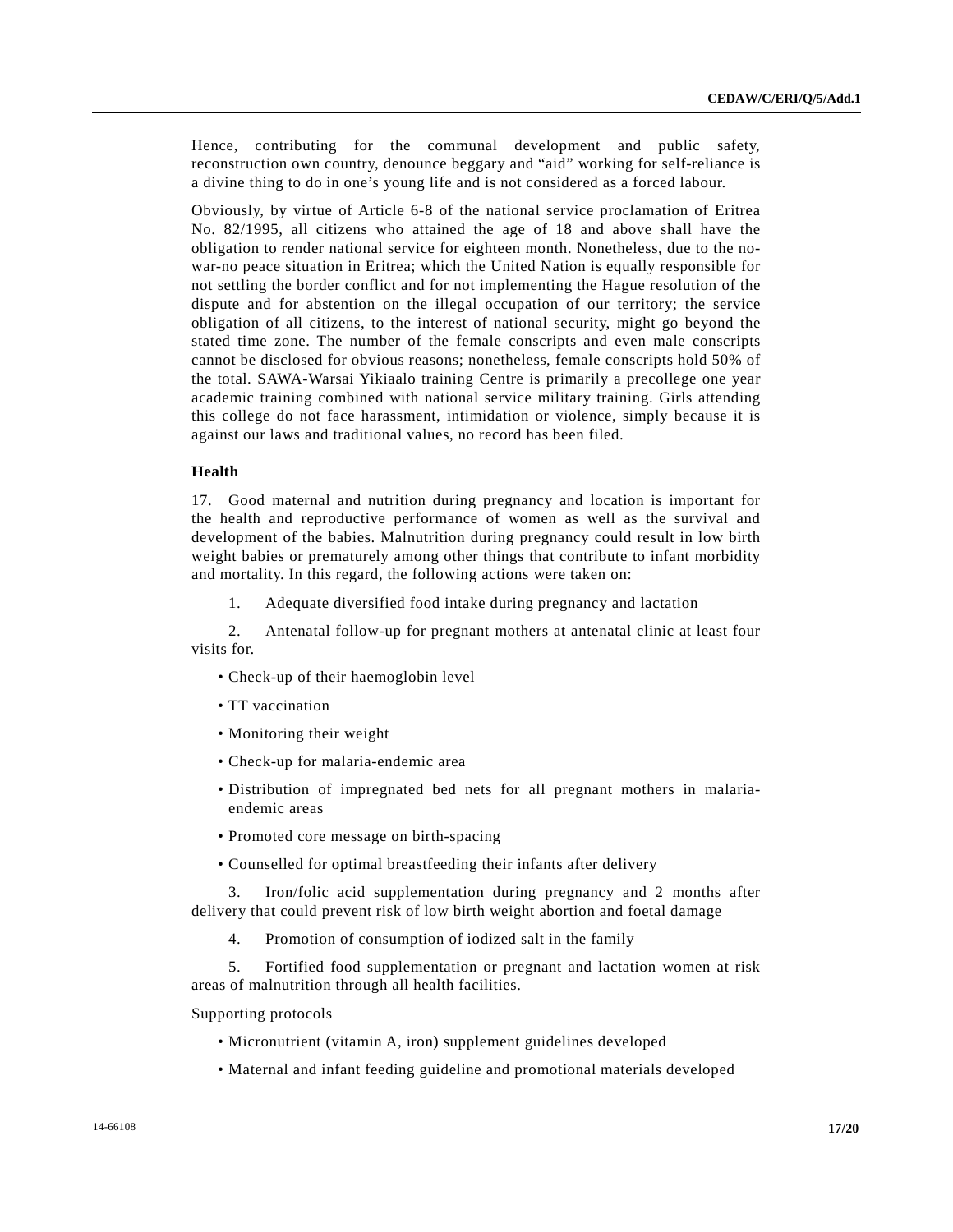Hence, contributing for the communal development and public safety, reconstruction own country, denounce beggary and "aid" working for self-reliance is a divine thing to do in one's young life and is not considered as a forced labour.

Obviously, by virtue of Article 6-8 of the national service proclamation of Eritrea No. 82/1995, all citizens who attained the age of 18 and above shall have the obligation to render national service for eighteen month. Nonetheless, due to the nowar-no peace situation in Eritrea; which the United Nation is equally responsible for not settling the border conflict and for not implementing the Hague resolution of the dispute and for abstention on the illegal occupation of our territory; the service obligation of all citizens, to the interest of national security, might go beyond the stated time zone. The number of the female conscripts and even male conscripts cannot be disclosed for obvious reasons; nonetheless, female conscripts hold 50% of the total. SAWA-Warsai Yikiaalo training Centre is primarily a precollege one year academic training combined with national service military training. Girls attending this college do not face harassment, intimidation or violence, simply because it is against our laws and traditional values, no record has been filed.

#### **Health**

17. Good maternal and nutrition during pregnancy and location is important for the health and reproductive performance of women as well as the survival and development of the babies. Malnutrition during pregnancy could result in low birth weight babies or prematurely among other things that contribute to infant morbidity and mortality. In this regard, the following actions were taken on:

1. Adequate diversified food intake during pregnancy and lactation

 2. Antenatal follow-up for pregnant mothers at antenatal clinic at least four visits for.

- Check-up of their haemoglobin level
- TT vaccination
- Monitoring their weight
- Check-up for malaria-endemic area
- Distribution of impregnated bed nets for all pregnant mothers in malariaendemic areas
- Promoted core message on birth-spacing
- Counselled for optimal breastfeeding their infants after delivery

 3. Iron/folic acid supplementation during pregnancy and 2 months after delivery that could prevent risk of low birth weight abortion and foetal damage

4. Promotion of consumption of iodized salt in the family

 5. Fortified food supplementation or pregnant and lactation women at risk areas of malnutrition through all health facilities.

#### Supporting protocols

- Micronutrient (vitamin A, iron) supplement guidelines developed
- Maternal and infant feeding guideline and promotional materials developed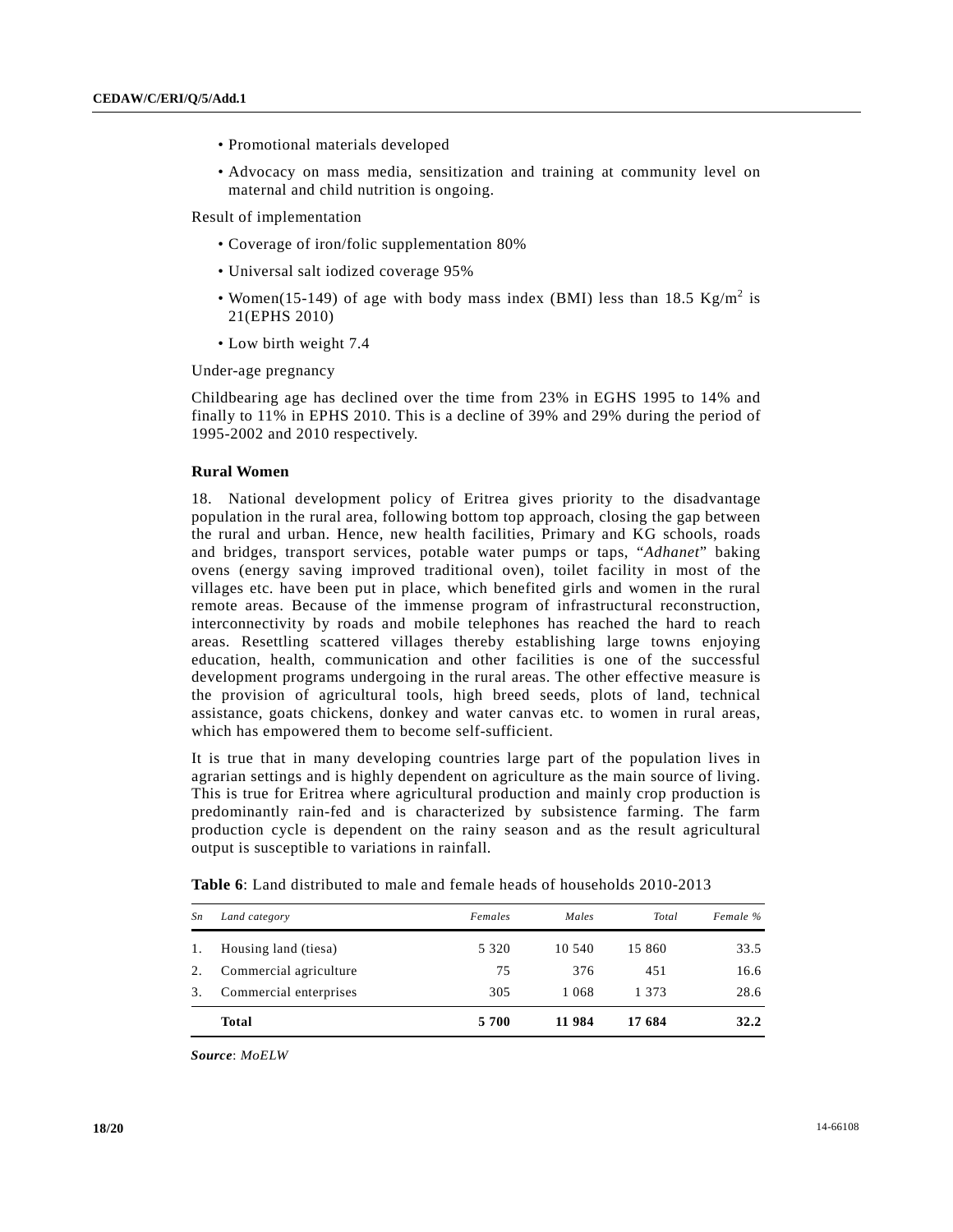- Promotional materials developed
- Advocacy on mass media, sensitization and training at community level on maternal and child nutrition is ongoing.

Result of implementation

- Coverage of iron/folic supplementation 80%
- Universal salt iodized coverage 95%
- Women(15-149) of age with body mass index (BMI) less than 18.5  $Kg/m^2$  is 21(EPHS 2010)
	- Low birth weight 7.4

Under-age pregnancy

Childbearing age has declined over the time from 23% in EGHS 1995 to 14% and finally to 11% in EPHS 2010. This is a decline of 39% and 29% during the period of 1995-2002 and 2010 respectively.

#### **Rural Women**

18. National development policy of Eritrea gives priority to the disadvantage population in the rural area, following bottom top approach, closing the gap between the rural and urban. Hence, new health facilities, Primary and KG schools, roads and bridges, transport services, potable water pumps or taps, "*Adhanet*" baking ovens (energy saving improved traditional oven), toilet facility in most of the villages etc. have been put in place, which benefited girls and women in the rural remote areas. Because of the immense program of infrastructural reconstruction, interconnectivity by roads and mobile telephones has reached the hard to reach areas. Resettling scattered villages thereby establishing large towns enjoying education, health, communication and other facilities is one of the successful development programs undergoing in the rural areas. The other effective measure is the provision of agricultural tools, high breed seeds, plots of land, technical assistance, goats chickens, donkey and water canvas etc. to women in rural areas, which has empowered them to become self-sufficient.

It is true that in many developing countries large part of the population lives in agrarian settings and is highly dependent on agriculture as the main source of living. This is true for Eritrea where agricultural production and mainly crop production is predominantly rain-fed and is characterized by subsistence farming. The farm production cycle is dependent on the rainy season and as the result agricultural output is susceptible to variations in rainfall.

| Sn | Land category          | Females | Males  | Total  | Female % |
|----|------------------------|---------|--------|--------|----------|
| 1. | Housing land (tiesa)   | 5 3 2 0 | 10.540 | 15 860 | 33.5     |
| 2. | Commercial agriculture | 75      | 376    | 451    | 16.6     |
| 3. | Commercial enterprises | 305     | 1 068  | 1 373  | 28.6     |
|    | <b>Total</b>           | 5 700   | 11 984 | 17 684 | 32.2     |

**Table 6**: Land distributed to male and female heads of households 2010-2013

*Source*: *MoELW*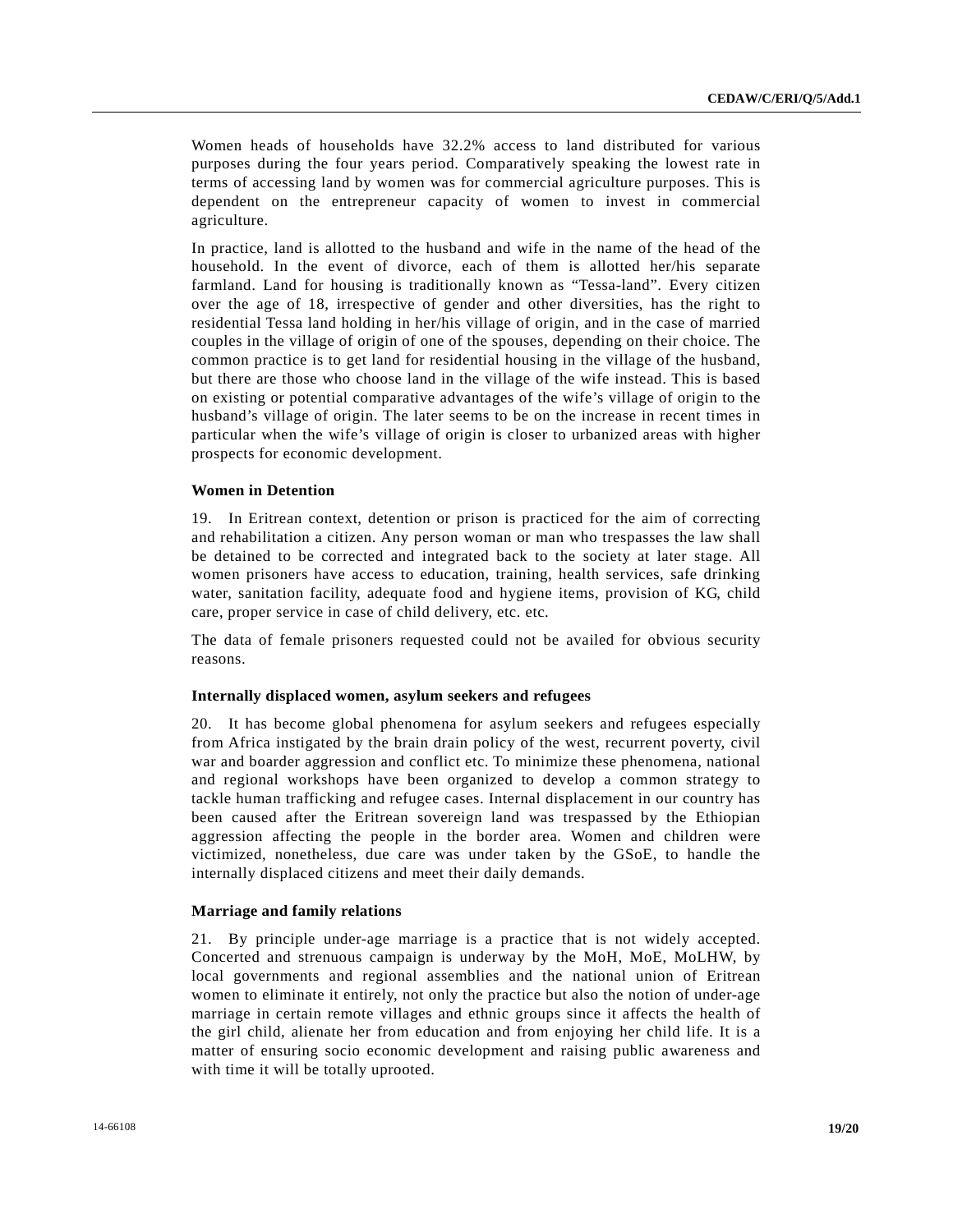Women heads of households have 32.2% access to land distributed for various purposes during the four years period. Comparatively speaking the lowest rate in terms of accessing land by women was for commercial agriculture purposes. This is dependent on the entrepreneur capacity of women to invest in commercial agriculture.

In practice, land is allotted to the husband and wife in the name of the head of the household. In the event of divorce, each of them is allotted her/his separate farmland. Land for housing is traditionally known as "Tessa-land". Every citizen over the age of 18, irrespective of gender and other diversities, has the right to residential Tessa land holding in her/his village of origin, and in the case of married couples in the village of origin of one of the spouses, depending on their choice. The common practice is to get land for residential housing in the village of the husband, but there are those who choose land in the village of the wife instead. This is based on existing or potential comparative advantages of the wife's village of origin to the husband's village of origin. The later seems to be on the increase in recent times in particular when the wife's village of origin is closer to urbanized areas with higher prospects for economic development.

# **Women in Detention**

19. In Eritrean context, detention or prison is practiced for the aim of correcting and rehabilitation a citizen. Any person woman or man who trespasses the law shall be detained to be corrected and integrated back to the society at later stage. All women prisoners have access to education, training, health services, safe drinking water, sanitation facility, adequate food and hygiene items, provision of KG, child care, proper service in case of child delivery, etc. etc.

The data of female prisoners requested could not be availed for obvious security reasons.

# **Internally displaced women, asylum seekers and refugees**

20. It has become global phenomena for asylum seekers and refugees especially from Africa instigated by the brain drain policy of the west, recurrent poverty, civil war and boarder aggression and conflict etc. To minimize these phenomena, national and regional workshops have been organized to develop a common strategy to tackle human trafficking and refugee cases. Internal displacement in our country has been caused after the Eritrean sovereign land was trespassed by the Ethiopian aggression affecting the people in the border area. Women and children were victimized, nonetheless, due care was under taken by the GSoE, to handle the internally displaced citizens and meet their daily demands.

# **Marriage and family relations**

21. By principle under-age marriage is a practice that is not widely accepted. Concerted and strenuous campaign is underway by the MoH, MoE, MoLHW, by local governments and regional assemblies and the national union of Eritrean women to eliminate it entirely, not only the practice but also the notion of under-age marriage in certain remote villages and ethnic groups since it affects the health of the girl child, alienate her from education and from enjoying her child life. It is a matter of ensuring socio economic development and raising public awareness and with time it will be totally uprooted.